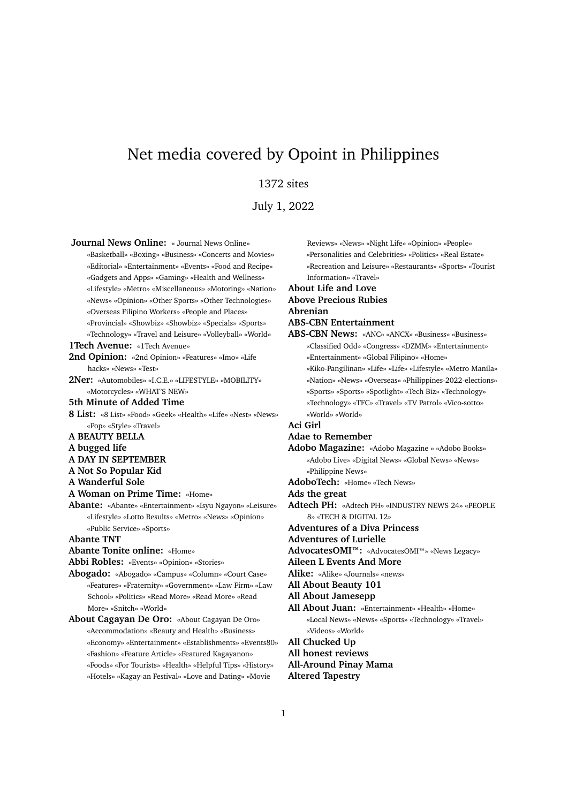# Net media covered by Opoint in Philippines

## 1372 sites

July 1, 2022

**Journal News Online:** « Journal News Online» «Basketball» «Boxing» «Business» «Concerts and Movies» «Editorial» «Entertainment» «Events» «Food and Recipe» «Gadgets and Apps» «Gaming» «Health and Wellness» «Lifestyle» «Metro» «Miscellaneous» «Motoring» «Nation» «News» «Opinion» «Other Sports» «Other Technologies» «Overseas Filipino Workers» «People and Places» «Provincial» «Showbiz» «Showbiz» «Specials» «Sports» «Technology» «Travel and Leisure» «Volleyball» «World» **1Tech Avenue:** «1Tech Avenue» 2nd Opinion: «2nd Opinion» «Features» «Imo» «Life hacks» «News» «Test» **2Ner:** «Automobiles» «I.C.E.» «LIFESTYLE» «MOBILITY» «Motorcycles» «WHAT'S NEW» **5th Minute of Added Time 8 List:** «8 List» «Food» «Geek» «Health» «Life» «Nest» «News» «Pop» «Style» «Travel» **A BEAUTY BELLA A bugged life A DAY IN SEPTEMBER A Not So Popular Kid A Wanderful Sole A Woman on Prime Time:** «Home» **Abante:** «Abante» «Entertainment» «Isyu Ngayon» «Leisure» «Lifestyle» «Lotto Results» «Metro» «News» «Opinion» «Public Service» «Sports» **Abante TNT Abante Tonite online:** «Home» **Abbi Robles:** «Events» «Opinion» «Stories» **Abogado:** «Abogado» «Campus» «Column» «Court Case» «Features» «Fraternity» «Government» «Law Firm» «Law School» «Politics» «Read More» «Read More» «Read More» «Snitch» «World» **About Cagayan De Oro:** «About Cagayan De Oro» «Accommodation» «Beauty and Health» «Business» «Economy» «Entertainment» «Establishments» «Events80» «Fashion» «Feature Article» «Featured Kagayanon» «Foods» «For Tourists» «Health» «Helpful Tips» «History» «Hotels» «Kagay-an Festival» «Love and Dating» «Movie

Reviews» «News» «Night Life» «Opinion» «People» «Personalities and Celebrities» «Politics» «Real Estate» «Recreation and Leisure» «Restaurants» «Sports» «Tourist Information» «Travel» **About Life and Love Above Precious Rubies Abrenian ABS-CBN Entertainment ABS-CBN News:** «ANC» «ANCX» «Business» «Business» «Classified Odd» «Congress» «DZMM» «Entertainment» «Entertainment» «Global Filipino» «Home» «Kiko-Pangilinan» «Life» «Life» «Lifestyle» «Metro Manila» «Nation» «News» «Overseas» «Philippines-2022-elections» «Sports» «Sports» «Spotlight» «Tech Biz» «Technology» «Technology» «TFC» «Travel» «TV Patrol» «Vico-sotto» «World» «World» **Aci Girl Adae to Remember Adobo Magazine:** «Adobo Magazine » «Adobo Books» «Adobo Live» «Digital News» «Global News» «News» «Philippine News» **AdoboTech:** «Home» «Tech News» **Ads the great Adtech PH:** «Adtech PH» «INDUSTRY NEWS 24» «PEOPLE 8» «TECH & DIGITAL 12» **Adventures of a Diva Princess Adventures of Lurielle AdvocatesOMI™:** «AdvocatesOMI™» «News Legacy» **Aileen L Events And More Alike:** «Alike» «Journals» «news» **All About Beauty 101 All About Jamesepp All About Juan:** «Entertainment» «Health» «Home» «Local News» «News» «Sports» «Technology» «Travel» «Videos» «World» **All Chucked Up All honest reviews All-Around Pinay Mama Altered Tapestry**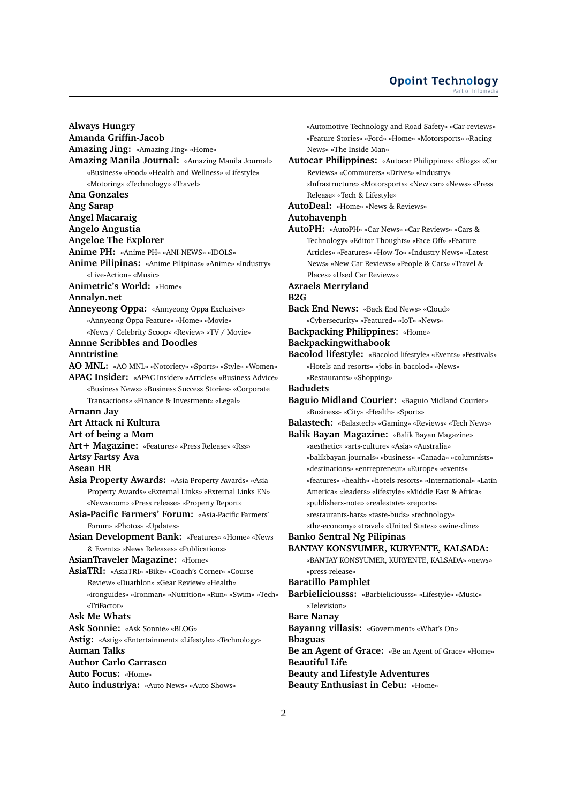#### **Opoint Technology** Part of Infomed

**Always Hungry Amanda Griffin-Jacob Amazing Jing:** «Amazing Jing» «Home» **Amazing Manila Journal:** «Amazing Manila Journal» «Business» «Food» «Health and Wellness» «Lifestyle» «Motoring» «Technology» «Travel» **Ana Gonzales Ang Sarap Angel Macaraig Angelo Angustia Angeloe The Explorer Anime PH:** «Anime PH» «ANI-NEWS» «IDOLS» **Anime Pilipinas:** «Anime Pilipinas» «Anime» «Industry» «Live-Action» «Music» **Animetric's World:** «Home» **Annalyn.net Anneyeong Oppa:** «Annyeong Oppa Exclusive» «Annyeong Oppa Feature» «Home» «Movie» «News / Celebrity Scoop» «Review» «TV / Movie» **Annne Scribbles and Doodles Anntristine AO MNL:** «AO MNL» «Notoriety» «Sports» «Style» «Women» **APAC Insider:** «APAC Insider» «Articles» «Business Advice» «Business News» «Business Success Stories» «Corporate Transactions» «Finance & Investment» «Legal» **Arnann Jay Art Attack ni Kultura Art of being a Mom Art+ Magazine:** «Features» «Press Release» «Rss» **Artsy Fartsy Ava Asean HR Asia Property Awards:** «Asia Property Awards» «Asia Property Awards» «External Links» «External Links EN» «Newsroom» «Press release» «Property Report» **Asia-Pacific Farmers' Forum:** «Asia-Pacific Farmers' Forum» «Photos» «Updates» **Asian Development Bank:** «Features» «Home» «News & Events» «News Releases» «Publications» **AsianTraveler Magazine:** «Home» **AsiaTRI:** «AsiaTRI» «Bike» «Coach's Corner» «Course Review» «Duathlon» «Gear Review» «Health» «ironguides» «Ironman» «Nutrition» «Run» «Swim» «Tech» «TriFactor» **Ask Me Whats Ask Sonnie:** «Ask Sonnie» «BLOG» **Astig:** «Astig» «Entertainment» «Lifestyle» «Technology» **Auman Talks Author Carlo Carrasco Auto Focus:** «Home»

**Auto industriya:** «Auto News» «Auto Shows»

News» «The Inside Man» **Autocar Philippines:** «Autocar Philippines» «Blogs» «Car Reviews» «Commuters» «Drives» «Industry» «Infrastructure» «Motorsports» «New car» «News» «Press Release» «Tech & Lifestyle» **AutoDeal:** «Home» «News & Reviews» **Autohavenph AutoPH:** «AutoPH» «Car News» «Car Reviews» «Cars & Technology» «Editor Thoughts» «Face Off» «Feature Articles» «Features» «How-To» «Industry News» «Latest News» «New Car Reviews» «People & Cars» «Travel & Places» «Used Car Reviews» **Azraels Merryland B2G Back End News:** «Back End News» «Cloud» «Cybersecurity» «Featured» «IoT» «News»

«Automotive Technology and Road Safety» «Car-reviews» «Feature Stories» «Ford» «Home» «Motorsports» «Racing

**Backpacking Philippines:** «Home»

**Backpackingwithabook**

**Bacolod lifestyle:** «Bacolod lifestyle» «Events» «Festivals» «Hotels and resorts» «jobs-in-bacolod» «News» «Restaurants» «Shopping»

**Badudets**

**Baguio Midland Courier:** «Baguio Midland Courier» «Business» «City» «Health» «Sports»

**Balastech:** «Balastech» «Gaming» «Reviews» «Tech News»

- **Balik Bayan Magazine:** «Balik Bayan Magazine» «aesthetic» «arts-culture» «Asia» «Australia» «balikbayan-journals» «business» «Canada» «columnists» «destinations» «entrepreneur» «Europe» «events» «features» «health» «hotels-resorts» «International» «Latin America» «leaders» «lifestyle» «Middle East & Africa» «publishers-note» «realestate» «reports» «restaurants-bars» «taste-buds» «technology» «the-economy» «travel» «United States» «wine-dine»
- **Banko Sentral Ng Pilipinas BANTAY KONSYUMER, KURYENTE, KALSADA:**

«BANTAY KONSYUMER, KURYENTE, KALSADA» «news» «press-release»

**Baratillo Pamphlet**

**Barbieliciousss:** «Barbieliciousss» «Lifestyle» «Music» «Television»

**Bare Nanay Bayanng villasis:** «Government» «What's On»

**Bbaguas**

**Be an Agent of Grace:** «Be an Agent of Grace» «Home» **Beautiful Life Beauty and Lifestyle Adventures Beauty Enthusiast in Cebu:** «Home»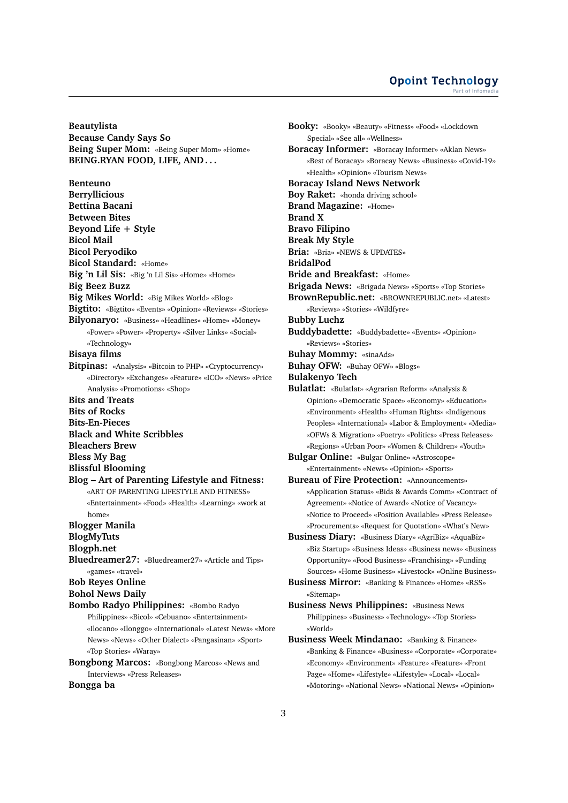#### **Opoint Technology** Part of Infomed

**Beautylista Because Candy Says So Being Super Mom:** «Being Super Mom» «Home» **BEING.RYAN FOOD, LIFE, AND . . .**

**Benteuno Berryllicious Bettina Bacani Between Bites Beyond Life + Style Bicol Mail Bicol Peryodiko Bicol Standard:** «Home» **Big 'n Lil Sis:** «Big 'n Lil Sis» «Home» «Home» **Big Beez Buzz Big Mikes World:** «Big Mikes World» «Blog» **Bigtito:** «Bigtito» «Events» «Opinion» «Reviews» «Stories» **Bilyonaryo:** «Business» «Headlines» «Home» «Money» «Power» «Power» «Property» «Silver Links» «Social» «Technology» **Bisaya films Bitpinas:** «Analysis» «Bitcoin to PHP» «Cryptocurrency» «Directory» «Exchanges» «Feature» «ICO» «News» «Price Analysis» «Promotions» «Shop» **Bits and Treats Bits of Rocks Bits-En-Pieces Black and White Scribbles Bleachers Brew Bless My Bag Blissful Blooming Blog – Art of Parenting Lifestyle and Fitness:** «ART OF PARENTING LIFESTYLE AND FITNESS» «Entertainment» «Food» «Health» «Learning» «work at home» **Blogger Manila BlogMyTuts Blogph.net Bluedreamer27:** «Bluedreamer27» «Article and Tips» «games» «travel» **Bob Reyes Online Bohol News Daily Bombo Radyo Philippines:** «Bombo Radyo Philippines» «Bicol» «Cebuano» «Entertainment» «Ilocano» «Ilonggo» «International» «Latest News» «More News» «News» «Other Dialect» «Pangasinan» «Sport» «Top Stories» «Waray» **Bongbong Marcos:** «Bongbong Marcos» «News and Interviews» «Press Releases»

#### **Bongga ba**

**Booky:** «Booky» «Beauty» «Fitness» «Food» «Lockdown Special» «See all» «Wellness» **Boracay Informer:** «Boracay Informer» «Aklan News» «Best of Boracay» «Boracay News» «Business» «Covid-19» «Health» «Opinion» «Tourism News» **Boracay Island News Network Boy Raket:** «honda driving school» **Brand Magazine:** «Home» **Brand X Bravo Filipino Break My Style Bria:** «Bria» «NEWS & UPDATES» **BridalPod Bride and Breakfast:** «Home» **Brigada News:** «Brigada News» «Sports» «Top Stories» **BrownRepublic.net:** «BROWNREPUBLIC.net» «Latest» «Reviews» «Stories» «Wildfyre» **Bubby Luchz Buddybadette:** «Buddybadette» «Events» «Opinion» «Reviews» «Stories» **Buhay Mommy:** «sinaAds» **Buhay OFW:** «Buhay OFW» «Blogs» **Bulakenyo Tech Bulatlat:** «Bulatlat» «Agrarian Reform» «Analysis & Opinion» «Democratic Space» «Economy» «Education» «Environment» «Health» «Human Rights» «Indigenous Peoples» «International» «Labor & Employment» «Media» «OFWs & Migration» «Poetry» «Politics» «Press Releases» «Regions» «Urban Poor» «Women & Children» «Youth» **Bulgar Online:** «Bulgar Online» «Astroscope» «Entertainment» «News» «Opinion» «Sports» **Bureau of Fire Protection:** «Announcements» «Application Status» «Bids & Awards Comm» «Contract of Agreement» «Notice of Award» «Notice of Vacancy» «Notice to Proceed» «Position Available» «Press Release» «Procurements» «Request for Quotation» «What's New» **Business Diary:** «Business Diary» «AgriBiz» «AquaBiz» «Biz Startup» «Business Ideas» «Business news» «Business Opportunity» «Food Business» «Franchising» «Funding Sources» «Home Business» «Livestock» «Online Business» **Business Mirror:** «Banking & Finance» «Home» «RSS» «Sitemap» **Business News Philippines:** «Business News Philippines» «Business» «Technology» «Top Stories» «World» **Business Week Mindanao:** «Banking & Finance»

«Banking & Finance» «Business» «Corporate» «Corporate» «Economy» «Environment» «Feature» «Feature» «Front Page» «Home» «Lifestyle» «Lifestyle» «Local» «Local» «Motoring» «National News» «National News» «Opinion»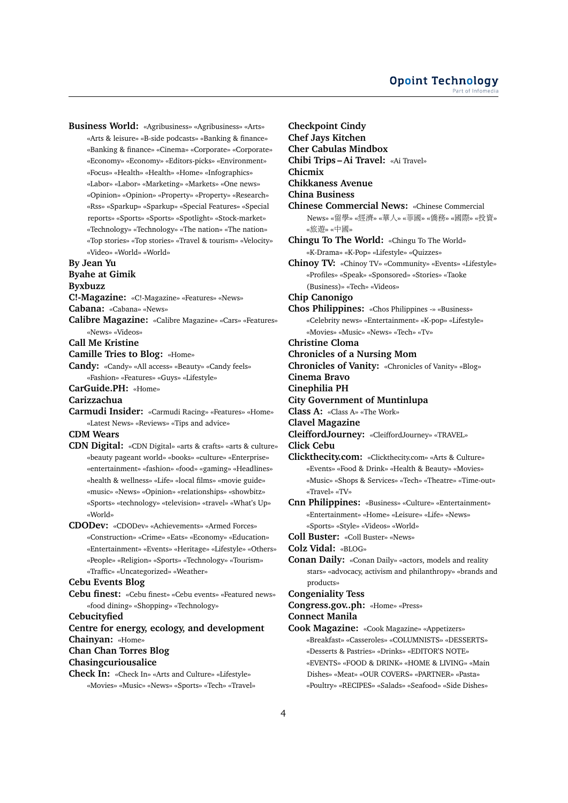**Business World:** «Agribusiness» «Agribusiness» «Arts» «Arts & leisure» «B-side podcasts» «Banking & finance» «Banking & finance» «Cinema» «Corporate» «Corporate» «Economy» «Economy» «Editors-picks» «Environment» «Focus» «Health» «Health» «Home» «Infographics» «Labor» «Labor» «Marketing» «Markets» «One news» «Opinion» «Opinion» «Property» «Property» «Research» «Rss» «Sparkup» «Sparkup» «Special Features» «Special reports» «Sports» «Sports» «Spotlight» «Stock-market» «Technology» «Technology» «The nation» «The nation» «Top stories» «Top stories» «Travel & tourism» «Velocity» «Video» «World» «World»

#### **By Jean Yu**

**Byahe at Gimik**

**Byxbuzz**

**C!-Magazine:** «C!-Magazine» «Features» «News»

**Cabana:** «Cabana» «News»

**Calibre Magazine:** «Calibre Magazine» «Cars» «Features» «News» «Videos»

**Call Me Kristine**

**Camille Tries to Blog:** «Home»

**Candy:** «Candy» «All access» «Beauty» «Candy feels» «Fashion» «Features» «Guys» «Lifestyle»

**CarGuide.PH:** «Home»

**Carizzachua**

**Carmudi Insider:** «Carmudi Racing» «Features» «Home» «Latest News» «Reviews» «Tips and advice»

**CDM Wears**

- **CDN Digital:** «CDN Digital» «arts & crafts» «arts & culture» «beauty pageant world» «books» «culture» «Enterprise» «entertainment» «fashion» «food» «gaming» «Headlines» «health & wellness» «Life» «local films» «movie guide» «music» «News» «Opinion» «relationships» «showbitz» «Sports» «technology» «television» «travel» «What's Up» «World»
- **CDODev:** «CDODev» «Achievements» «Armed Forces» «Construction» «Crime» «Eats» «Economy» «Education» «Entertainment» «Events» «Heritage» «Lifestyle» «Others» «People» «Religion» «Sports» «Technology» «Tourism» «Traffic» «Uncategorized» «Weather»

#### **Cebu Events Blog**

**Cebu finest:** «Cebu finest» «Cebu events» «Featured news» «food dining» «Shopping» «Technology»

**Cebucityfied**

- **Centre for energy, ecology, and development Chainyan:** «Home» **Chan Chan Torres Blog**
- **Chasingcuriousalice**

**Check In:** «Check In» «Arts and Culture» «Lifestyle» «Movies» «Music» «News» «Sports» «Tech» «Travel» **Checkpoint Cindy Chef Jays Kitchen Cher Cabulas Mindbox Chibi Trips – Ai Travel:** «Ai Travel» **Chicmix Chikkaness Avenue China Business Chinese Commercial News:** «Chinese Commercial News» «留學» «經濟» «華人» «菲國» «僑務» «國際» «投資» «旅遊» «中國» **Chingu To The World:** «Chingu To The World» «K-Drama» «K-Pop» «Lifestyle» «Quizzes» **Chinoy TV:** «Chinoy TV» «Community» «Events» «Lifestyle» «Profiles» «Speak» «Sponsored» «Stories» «Taoke (Business)» «Tech» «Videos» **Chip Canonigo Chos Philippines:** «Chos Philippines -» «Business» «Celebrity news» «Entertainment» «K-pop» «Lifestyle» «Movies» «Music» «News» «Tech» «Tv» **Christine Cloma Chronicles of a Nursing Mom Chronicles of Vanity:** «Chronicles of Vanity» «Blog» **Cinema Bravo Cinephilia PH City Government of Muntinlupa Class A:** «Class A» «The Work» **Clavel Magazine CleiffordJourney:** «CleiffordJourney» «TRAVEL» **Click Cebu Clickthecity.com:** «Clickthecity.com» «Arts & Culture» «Events» «Food & Drink» «Health & Beauty» «Movies» «Music» «Shops & Services» «Tech» «Theatre» «Time-out» «Travel» «TV» **Cnn Philippines:** «Business» «Culture» «Entertainment» «Entertainment» «Home» «Leisure» «Life» «News» «Sports» «Style» «Videos» «World» **Coll Buster:** «Coll Buster» «News» **Colz Vidal:** «BLOG» **Conan Daily:** «Conan Daily» «actors, models and reality stars» «advocacy, activism and philanthropy» «brands and products» **Congeniality Tess Congress.gov..ph:** «Home» «Press» **Connect Manila Cook Magazine:** «Cook Magazine» «Appetizers» «Breakfast» «Casseroles» «COLUMNISTS» «DESSERTS» «Desserts & Pastries» «Drinks» «EDITOR'S NOTE» «EVENTS» «FOOD & DRINK» «HOME & LIVING» «Main Dishes» «Meat» «OUR COVERS» «PARTNER» «Pasta» «Poultry» «RECIPES» «Salads» «Seafood» «Side Dishes»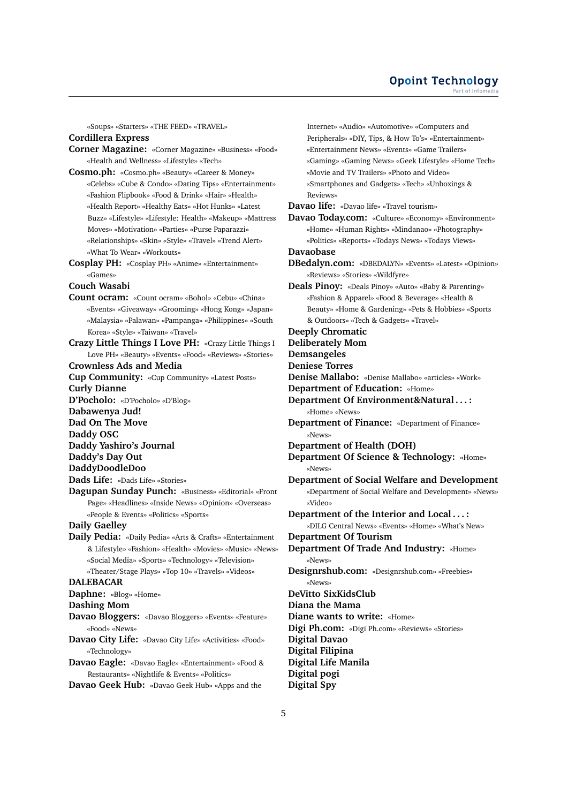«Soups» «Starters» «THE FEED» «TRAVEL»

## **Cordillera Express**

- **Corner Magazine:** «Corner Magazine» «Business» «Food» «Health and Wellness» «Lifestyle» «Tech»
- **Cosmo.ph:** «Cosmo.ph» «Beauty» «Career & Money» «Celebs» «Cube & Condo» «Dating Tips» «Entertainment» «Fashion Flipbook» «Food & Drink» «Hair» «Health» «Health Report» «Healthy Eats» «Hot Hunks» «Latest Buzz» «Lifestyle» «Lifestyle: Health» «Makeup» «Mattress Moves» «Motivation» «Parties» «Purse Paparazzi» «Relationships» «Skin» «Style» «Travel» «Trend Alert» «What To Wear» «Workouts»
- **Cosplay PH:** «Cosplay PH» «Anime» «Entertainment» «Games»

#### **Couch Wasabi**

- **Count ocram:** «Count ocram» «Bohol» «Cebu» «China» «Events» «Giveaway» «Grooming» «Hong Kong» «Japan» «Malaysia» «Palawan» «Pampanga» «Philippines» «South Korea» «Style» «Taiwan» «Travel»
- **Crazy Little Things I Love PH:** «Crazy Little Things I Love PH» «Beauty» «Events» «Food» «Reviews» «Stories»

## **Crownless Ads and Media**

- **Cup Community:** «Cup Community» «Latest Posts» **Curly Dianne D'Pocholo:** «D'Pocholo» «D'Blog» **Dabawenya Jud! Dad On The Move Daddy OSC Daddy Yashiro's Journal**
- **Daddy's Day Out**
- **DaddyDoodleDoo**
- **Dads Life:** «Dads Life» «Stories»
- **Dagupan Sunday Punch:** «Business» «Editorial» «Front Page» «Headlines» «Inside News» «Opinion» «Overseas» «People & Events» «Politics» «Sports»

**Daily Gaelley**

**Daily Pedia:** «Daily Pedia» «Arts & Crafts» «Entertainment & Lifestyle» «Fashion» «Health» «Movies» «Music» «News» «Social Media» «Sports» «Technology» «Television» «Theater/Stage Plays» «Top 10» «Travels» «Videos»

#### **DALEBACAR**

**Daphne:** «Blog» «Home»

#### **Dashing Mom**

**Davao Bloggers:** «Davao Bloggers» «Events» «Feature» «Food» «News»

- **Davao City Life:** «Davao City Life» «Activities» «Food» «Technology»
- **Davao Eagle:** «Davao Eagle» «Entertainment» «Food & Restaurants» «Nightlife & Events» «Politics»
- **Davao Geek Hub:** «Davao Geek Hub» «Apps and the

Internet» «Audio» «Automotive» «Computers and Peripherals» «DIY, Tips, & How To's» «Entertainment» «Entertainment News» «Events» «Game Trailers» «Gaming» «Gaming News» «Geek Lifestyle» «Home Tech» «Movie and TV Trailers» «Photo and Video» «Smartphones and Gadgets» «Tech» «Unboxings & Reviews» **Davao life:** «Davao life» «Travel tourism» **Davao Today.com:** «Culture» «Economy» «Environment» «Home» «Human Rights» «Mindanao» «Photography» «Politics» «Reports» «Todays News» «Todays Views» **Davaobase**

- **DBedalyn.com:** «DBEDALYN» «Events» «Latest» «Opinion» «Reviews» «Stories» «Wildfyre»
- **Deals Pinoy:** «Deals Pinoy» «Auto» «Baby & Parenting» «Fashion & Apparel» «Food & Beverage» «Health & Beauty» «Home & Gardening» «Pets & Hobbies» «Sports & Outdoors» «Tech & Gadgets» «Travel»

## **Deeply Chromatic**

**Deliberately Mom**

- **Demsangeles**
- **Deniese Torres**
- **Denise Mallabo:** «Denise Mallabo» «articles» «Work»
- **Department of Education:** «Home»
- **Department Of Environment&Natural . . . :** «Home» «News»
- **Department of Finance:** «Department of Finance» «News»

**Department of Health (DOH)**

**Department Of Science & Technology:** «Home» «News»

- **Department of Social Welfare and Development** «Department of Social Welfare and Development» «News» «Video»
- **Department of the Interior and Local . . . :**

«DILG Central News» «Events» «Home» «What's New» **Department Of Tourism**

- **Department Of Trade And Industry:** «Home» «News»
- **Designrshub.com:** «Designrshub.com» «Freebies» «News»

**DeVitto SixKidsClub**

**Diana the Mama**

**Diane wants to write:** «Home»

**Digi Ph.com:** «Digi Ph.com» «Reviews» «Stories»

**Digital Davao**

- **Digital Filipina**
- **Digital Life Manila**
- **Digital pogi**
- **Digital Spy**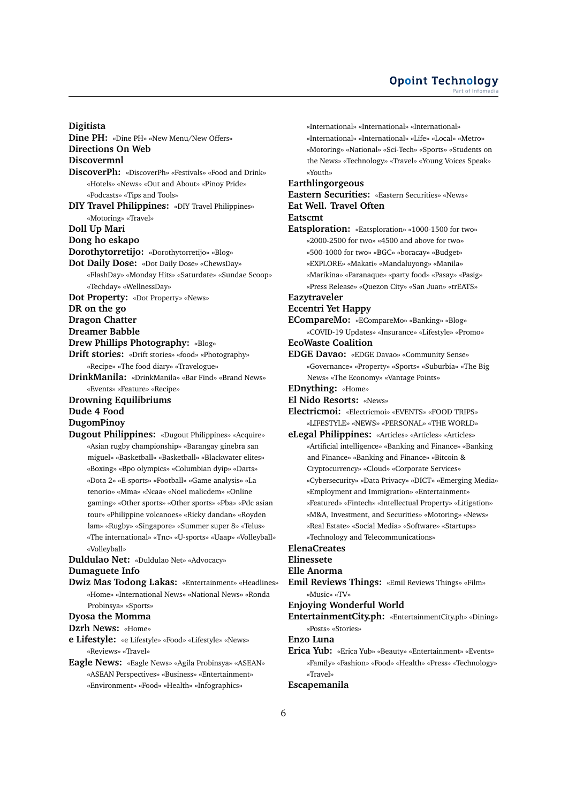**Digitista**

**Dine PH:** «Dine PH» «New Menu/New Offers» **Directions On Web Discovermnl DiscoverPh:** «DiscoverPh» «Festivals» «Food and Drink» «Hotels» «News» «Out and About» «Pinoy Pride» «Podcasts» «Tips and Tools» **DIY Travel Philippines:** «DIY Travel Philippines» «Motoring» «Travel» **Doll Up Mari Dong ho eskapo Dorothytorretijo:** «Dorothytorretijo» «Blog» **Dot Daily Dose:** «Dot Daily Dose» «ChewsDay» «FlashDay» «Monday Hits» «Saturdate» «Sundae Scoop» «Techday» «WellnessDay» **Dot Property:** «Dot Property» «News» **DR on the go Dragon Chatter Dreamer Babble Drew Phillips Photography:** «Blog» **Drift stories:** «Drift stories» «food» «Photography» «Recipe» «The food diary» «Travelogue» **DrinkManila:** «DrinkManila» «Bar Find» «Brand News» «Events» «Feature» «Recipe» **Drowning Equilibriums Dude 4 Food DugomPinoy Dugout Philippines:** «Dugout Philippines» «Acquire» «Asian rugby championship» «Barangay ginebra san miguel» «Basketball» «Basketball» «Blackwater elites» «Boxing» «Bpo olympics» «Columbian dyip» «Darts» «Dota 2» «E-sports» «Football» «Game analysis» «La tenorio» «Mma» «Ncaa» «Noel malicdem» «Online gaming» «Other sports» «Other sports» «Pba» «Pdc asian tour» «Philippine volcanoes» «Ricky dandan» «Royden lam» «Rugby» «Singapore» «Summer super 8» «Telus»

«The international» «Tnc» «U-sports» «Uaap» «Volleyball» «Volleyball»

**Duldulao Net:** «Duldulao Net» «Advocacy»

## **Dumaguete Info**

**Dwiz Mas Todong Lakas:** «Entertainment» «Headlines» «Home» «International News» «National News» «Ronda Probinsya» «Sports»

## **Dyosa the Momma**

**Dzrh News:** «Home»

**e Lifestyle:** «e Lifestyle» «Food» «Lifestyle» «News» «Reviews» «Travel»

**Eagle News:** «Eagle News» «Agila Probinsya» «ASEAN» «ASEAN Perspectives» «Business» «Entertainment» «Environment» «Food» «Health» «Infographics»

«International» «International» «International» «International» «International» «Life» «Local» «Metro» «Motoring» «National» «Sci-Tech» «Sports» «Students on the News» «Technology» «Travel» «Young Voices Speak» «Youth»

## **Earthlingorgeous**

**Eastern Securities:** «Eastern Securities» «News»

## **Eat Well. Travel Often**

#### **Eatscmt**

**Eatsploration:** «Eatsploration» «1000-1500 for two» «2000-2500 for two» «4500 and above for two» «500-1000 for two» «BGC» «boracay» «Budget» «EXPLORE» «Makati» «Mandaluyong» «Manila» «Marikina» «Paranaque» «party food» «Pasay» «Pasig» «Press Release» «Quezon City» «San Juan» «trEATS»

## **Eazytraveler**

## **Eccentri Yet Happy**

**ECompareMo:** «ECompareMo» «Banking» «Blog» «COVID-19 Updates» «Insurance» «Lifestyle» «Promo»

## **EcoWaste Coalition**

- **EDGE Davao:** «EDGE Davao» «Community Sense» «Governance» «Property» «Sports» «Suburbia» «The Big News» «The Economy» «Vantage Points»
- **EDnything:** «Home»
- **El Nido Resorts:** «News»
- **Electricmoi:** «Electricmoi» «EVENTS» «FOOD TRIPS» «LIFESTYLE» «NEWS» «PERSONAL» «THE WORLD»
- **eLegal Philippines:** «Articles» «Articles» «Articles» «Artificial intelligence» «Banking and Finance» «Banking and Finance» «Banking and Finance» «Bitcoin & Cryptocurrency» «Cloud» «Corporate Services» «Cybersecurity» «Data Privacy» «DICT» «Emerging Media» «Employment and Immigration» «Entertainment» «Featured» «Fintech» «Intellectual Property» «Litigation» «M&A, Investment, and Securities» «Motoring» «News» «Real Estate» «Social Media» «Software» «Startups» «Technology and Telecommunications»

#### **ElenaCreates**

#### **Elinessete**

- **Elle Anorma**
- **Emil Reviews Things:** «Emil Reviews Things» «Film» «Music» «TV»

## **Enjoying Wonderful World**

**EntertainmentCity.ph:** «EntertainmentCity.ph» «Dining» «Posts» «Stories»

#### **Enzo Luna**

**Erica Yub:** «Erica Yub» «Beauty» «Entertainment» «Events» «Family» «Fashion» «Food» «Health» «Press» «Technology» «Travel»

#### **Escapemanila**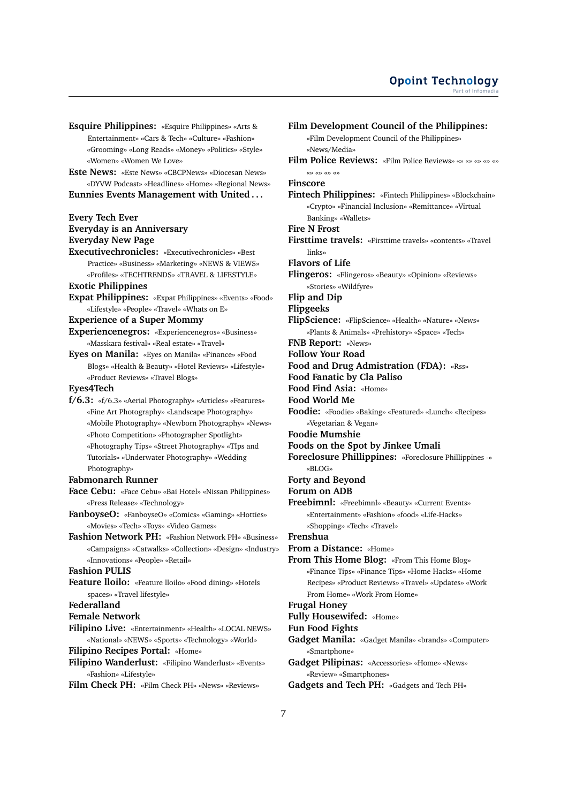- **Esquire Philippines:** «Esquire Philippines» «Arts & Entertainment» «Cars & Tech» «Culture» «Fashion» «Grooming» «Long Reads» «Money» «Politics» «Style» «Women» «Women We Love»
- **Este News:** «Este News» «CBCPNews» «Diocesan News» «DYVW Podcast» «Headlines» «Home» «Regional News»

**Eunnies Events Management with United . . .**

## **Every Tech Ever**

**Everyday is an Anniversary Everyday New Page**

**Executivechronicles:** «Executivechronicles» «Best Practice» «Business» «Marketing» «NEWS & VIEWS» «Profiles» «TECHTRENDS» «TRAVEL & LIFESTYLE»

## **Exotic Philippines**

**Expat Philippines:** «Expat Philippines» «Events» «Food» «Lifestyle» «People» «Travel» «Whats on E»

#### **Experience of a Super Mommy**

- **Experiencenegros:** «Experiencenegros» «Business» «Masskara festival» «Real estate» «Travel»
- **Eyes on Manila:** «Eyes on Manila» «Finance» «Food Blogs» «Health & Beauty» «Hotel Reviews» «Lifestyle» «Product Reviews» «Travel Blogs»

## **Eyes4Tech**

**f/6.3:** «f/6.3» «Aerial Photography» «Articles» «Features» «Fine Art Photography» «Landscape Photography» «Mobile Photography» «Newborn Photography» «News» «Photo Competition» «Photographer Spotlight» «Photography Tips» «Street Photography» «TIps and Tutorials» «Underwater Photography» «Wedding Photography»

#### **Fabmonarch Runner**

- **Face Cebu:** «Face Cebu» «Bai Hotel» «Nissan Philippines» «Press Release» «Technology»
- **FanboyseO:** «FanboyseO» «Comics» «Gaming» «Hotties» «Movies» «Tech» «Toys» «Video Games»
- **Fashion Network PH:** «Fashion Network PH» «Business» «Campaigns» «Catwalks» «Collection» «Design» «Industry» «Innovations» «People» «Retail»

## **Fashion PULIS**

**Feature lloilo:** «Feature lloilo» «Food dining» «Hotels spaces» «Travel lifestyle»

## **Federalland**

**Female Network**

- **Filipino Live:** «Entertainment» «Health» «LOCAL NEWS» «National» «NEWS» «Sports» «Technology» «World»
- **Filipino Recipes Portal:** «Home»
- **Filipino Wanderlust:** «Filipino Wanderlust» «Events» «Fashion» «Lifestyle»
- **Film Check PH:** «Film Check PH» «News» «Reviews»

**Film Development Council of the Philippines:** «Film Development Council of the Philippines» «News/Media» **Film Police Reviews:** «Film Police Reviews» «» «» «» «» «» «» «» «» «» **Finscore Fintech Philippines:** «Fintech Philippines» «Blockchain» «Crypto» «Financial Inclusion» «Remittance» «Virtual Banking» «Wallets» **Fire N Frost Firsttime travels:** «Firsttime travels» «contents» «Travel links» **Flavors of Life Flingeros:** «Flingeros» «Beauty» «Opinion» «Reviews» «Stories» «Wildfyre» **Flip and Dip Flipgeeks FlipScience:** «FlipScience» «Health» «Nature» «News» «Plants & Animals» «Prehistory» «Space» «Tech» **FNB Report:** «News» **Follow Your Road Food and Drug Admistration (FDA):** «Rss» **Food Fanatic by Cla Paliso Food Find Asia:** «Home» **Food World Me Foodie:** «Foodie» «Baking» «Featured» «Lunch» «Recipes» «Vegetarian & Vegan» **Foodie Mumshie Foods on the Spot by Jinkee Umali Foreclosure Phillippines:** «Foreclosure Phillippines -» «BLOG» **Forty and Beyond Forum on ADB Freebimnl:** «Freebimnl» «Beauty» «Current Events» «Entertainment» «Fashion» «food» «Life-Hacks» «Shopping» «Tech» «Travel» **Frenshua From a Distance:** «Home» **From This Home Blog:** «From This Home Blog» «Finance Tips» «Finance Tips» «Home Hacks» «Home Recipes» «Product Reviews» «Travel» «Updates» «Work From Home» «Work From Home» **Frugal Honey Fully Housewifed:** «Home» **Fun Food Fights Gadget Manila:** «Gadget Manila» «brands» «Computer» «Smartphone» **Gadget Pilipinas:** «Accessories» «Home» «News» «Review» «Smartphones»

**Gadgets and Tech PH:** «Gadgets and Tech PH»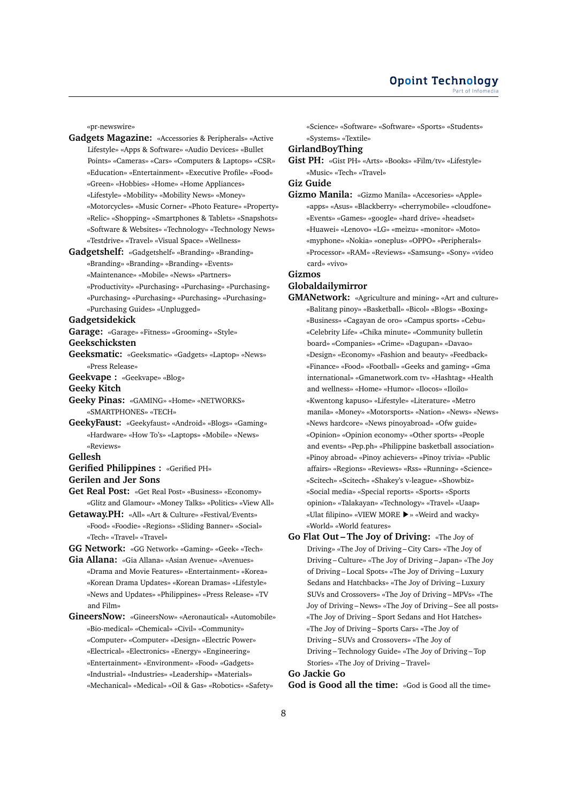«pr-newswire»

- **Gadgets Magazine:** «Accessories & Peripherals» «Active Lifestyle» «Apps & Software» «Audio Devices» «Bullet Points» «Cameras» «Cars» «Computers & Laptops» «CSR» «Education» «Entertainment» «Executive Profile» «Food» «Green» «Hobbies» «Home» «Home Appliances» «Lifestyle» «Mobility» «Mobility News» «Money» «Motorcycles» «Music Corner» «Photo Feature» «Property» «Relic» «Shopping» «Smartphones & Tablets» «Snapshots» «Software & Websites» «Technology» «Technology News» «Testdrive» «Travel» «Visual Space» «Wellness»
- **Gadgetshelf:** «Gadgetshelf» «Branding» «Branding» «Branding» «Branding» «Branding» «Events» «Maintenance» «Mobile» «News» «Partners» «Productivity» «Purchasing» «Purchasing» «Purchasing» «Purchasing» «Purchasing» «Purchasing» «Purchasing» «Purchasing Guides» «Unplugged»

#### **Gadgetsidekick**

**Garage:** «Garage» «Fitness» «Grooming» «Style»

#### **Geekschicksten**

- **Geeksmatic:** «Geeksmatic» «Gadgets» «Laptop» «News» «Press Release»
- **Geekvape :** «Geekvape» «Blog»
- **Geeky Kitch**
- **Geeky Pinas:** «GAMING» «Home» «NETWORKS» «SMARTPHONES» «TECH»
- **GeekyFaust:** «Geekyfaust» «Android» «Blogs» «Gaming» «Hardware» «How To's» «Laptops» «Mobile» «News» «Reviews»

#### **Gellesh**

#### **Gerified Philippines :** «Gerified PH» **Gerilen and Jer Sons**

- **Get Real Post:** «Get Real Post» «Business» «Economy»
- «Glitz and Glamour» «Money Talks» «Politics» «View All» **Getaway.PH:** «All» «Art & Culture» «Festival/Events»
- «Food» «Foodie» «Regions» «Sliding Banner» «Social» «Tech» «Travel» «Travel»

**GG Network:** «GG Network» «Gaming» «Geek» «Tech»

**Gia Allana:** «Gia Allana» «Asian Avenue» «Avenues» «Drama and Movie Features» «Entertainment» «Korea» «Korean Drama Updates» «Korean Dramas» «Lifestyle» «News and Updates» «Philippines» «Press Release» «TV and Film»

**GineersNow:** «GineersNow» «Aeronautical» «Automobile» «Bio-medical» «Chemical» «Civil» «Community» «Computer» «Computer» «Design» «Electric Power»

- «Electrical» «Electronics» «Energy» «Engineering»
- «Entertainment» «Environment» «Food» «Gadgets»
- «Industrial» «Industries» «Leadership» «Materials»
- «Mechanical» «Medical» «Oil & Gas» «Robotics» «Safety»

«Science» «Software» «Software» «Sports» «Students» «Systems» «Textile»

**GirlandBoyThing**

**Gist PH:** «Gist PH» «Arts» «Books» «Film/tv» «Lifestyle» «Music» «Tech» «Travel»

## **Giz Guide**

**Gizmo Manila:** «Gizmo Manila» «Accesories» «Apple» «apps» «Asus» «Blackberry» «cherrymobile» «cloudfone» «Events» «Games» «google» «hard drive» «headset» «Huawei» «Lenovo» «LG» «meizu» «monitor» «Moto» «myphone» «Nokia» «oneplus» «OPPO» «Peripherals» «Processor» «RAM» «Reviews» «Samsung» «Sony» «video card» «vivo»

## **Gizmos**

## **Globaldailymirror**

- **GMANetwork:** «Agriculture and mining» «Art and culture» «Balitang pinoy» «Basketball» «Bicol» «Blogs» «Boxing» «Business» «Cagayan de oro» «Campus sports» «Cebu» «Celebrity Life» «Chika minute» «Community bulletin board» «Companies» «Crime» «Dagupan» «Davao» «Design» «Economy» «Fashion and beauty» «Feedback» «Finance» «Food» «Football» «Geeks and gaming» «Gma international» «Gmanetwork.com tv» «Hashtag» «Health and wellness» «Home» «Humor» «Ilocos» «Iloilo» «Kwentong kapuso» «Lifestyle» «Literature» «Metro manila» «Money» «Motorsports» «Nation» «News» «News» «News hardcore» «News pinoyabroad» «Ofw guide» «Opinion» «Opinion economy» «Other sports» «People and events» «Pep.ph» «Philippine basketball association» «Pinoy abroad» «Pinoy achievers» «Pinoy trivia» «Public affairs» «Regions» «Reviews» «Rss» «Running» «Science» «Scitech» «Scitech» «Shakey's v-league» «Showbiz» «Social media» «Special reports» «Sports» «Sports opinion» «Talakayan» «Technology» «Travel» «Uaap» «Ulat filipino» «VIEW MORE ▶» «Weird and wacky» «World» «World features»
- **Go Flat Out The Joy of Driving:** «The Joy of Driving» «The Joy of Driving – City Cars» «The Joy of Driving – Culture» «The Joy of Driving – Japan» «The Joy of Driving – Local Spots» «The Joy of Driving – Luxury Sedans and Hatchbacks» «The Joy of Driving – Luxury SUVs and Crossovers» «The Joy of Driving – MPVs» «The Joy of Driving – News» «The Joy of Driving – See all posts» «The Joy of Driving – Sport Sedans and Hot Hatches» «The Joy of Driving – Sports Cars» «The Joy of Driving – SUVs and Crossovers» «The Joy of Driving – Technology Guide» «The Joy of Driving – Top Stories» «The Joy of Driving – Travel»

#### **Go Jackie Go**

**God is Good all the time:** «God is Good all the time»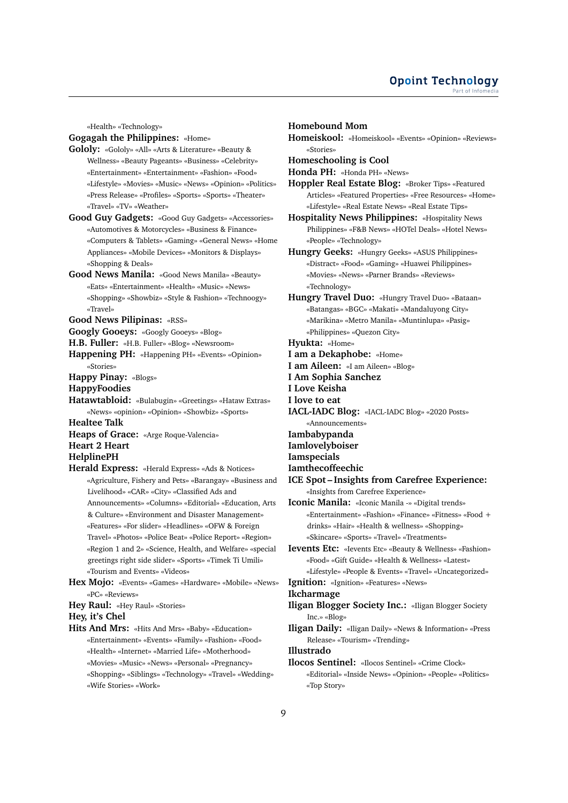«Health» «Technology»

## **Gogagah the Philippines:** «Home»

- **Gololy:** «Gololy» «All» «Arts & Literature» «Beauty & Wellness» «Beauty Pageants» «Business» «Celebrity» «Entertainment» «Entertainment» «Fashion» «Food» «Lifestyle» «Movies» «Music» «News» «Opinion» «Politics» «Press Release» «Profiles» «Sports» «Sports» «Theater» «Travel» «TV» «Weather»
- **Good Guy Gadgets:** «Good Guy Gadgets» «Accessories» «Automotives & Motorcycles» «Business & Finance» «Computers & Tablets» «Gaming» «General News» «Home Appliances» «Mobile Devices» «Monitors & Displays» «Shopping & Deals»
- **Good News Manila:** «Good News Manila» «Beauty» «Eats» «Entertainment» «Health» «Music» «News» «Shopping» «Showbiz» «Style & Fashion» «Technoogy» «Travel»
- **Good News Pilipinas:** «RSS»
- **Googly Gooeys:** «Googly Gooeys» «Blog»
- **H.B. Fuller:** «H.B. Fuller» «Blog» «Newsroom»

**Happening PH:** «Happening PH» «Events» «Opinion» «Stories»

- **Happy Pinay:** «Blogs»
- **HappyFoodies**

**Hatawtabloid:** «Bulabugin» «Greetings» «Hataw Extras» «News» «opinion» «Opinion» «Showbiz» «Sports»

**Healtee Talk**

**Heaps of Grace:** «Arge Roque-Valencia»

# **Heart 2 Heart**

# **HelplinePH**

- **Herald Express:** «Herald Express» «Ads & Notices» «Agriculture, Fishery and Pets» «Barangay» «Business and Livelihood» «CAR» «City» «Classified Ads and Announcements» «Columns» «Editorial» «Education, Arts & Culture» «Environment and Disaster Management» «Features» «For slider» «Headlines» «OFW & Foreign Travel» «Photos» «Police Beat» «Police Report» «Region» «Region 1 and 2» «Science, Health, and Welfare» «special greetings right side slider» «Sports» «Timek Ti Umili» «Tourism and Events» «Videos»
- **Hex Mojo:** «Events» «Games» «Hardware» «Mobile» «News» «PC» «Reviews»
- **Hey Raul:** «Hey Raul» «Stories»

**Hey, it's Chel**

- **Hits And Mrs:** «Hits And Mrs» «Baby» «Education» «Entertainment» «Events» «Family» «Fashion» «Food» «Health» «Internet» «Married Life» «Motherhood» «Movies» «Music» «News» «Personal» «Pregnancy»
	- «Shopping» «Siblings» «Technology» «Travel» «Wedding» «Wife Stories» «Work»

## **Homebound Mom**

- **Homeiskool:** «Homeiskool» «Events» «Opinion» «Reviews» «Stories»
- **Homeschooling is Cool**

**Honda PH:** «Honda PH» «News»

**Hoppler Real Estate Blog:** «Broker Tips» «Featured Articles» «Featured Properties» «Free Resources» «Home» «Lifestyle» «Real Estate News» «Real Estate Tips»

**Hospitality News Philippines:** «Hospitality News Philippines» «F&B News» «HOTel Deals» «Hotel News» «People» «Technology»

- **Hungry Geeks:** «Hungry Geeks» «ASUS Philippines» «Distract» «Food» «Gaming» «Huawei Philippines» «Movies» «News» «Parner Brands» «Reviews» «Technology»
- **Hungry Travel Duo:** «Hungry Travel Duo» «Bataan» «Batangas» «BGC» «Makati» «Mandaluyong City» «Marikina» «Metro Manila» «Muntinlupa» «Pasig» «Philippines» «Quezon City»

**Hyukta:** «Home»

- **I am a Dekaphobe:** «Home»
- **I am Aileen:** «I am Aileen» «Blog»
- **I Am Sophia Sanchez**

**I Love Keisha**

- **I love to eat**
- **IACL-IADC Blog:** «IACL-IADC Blog» «2020 Posts» «Announcements»
- **Iambabypanda**

**Iamlovelyboiser**

- **Iamspecials**
- **Iamthecoffeechic**
- **ICE Spot Insights from Carefree Experience:** «Insights from Carefree Experience»

**Iconic Manila:** «Iconic Manila -» «Digital trends» «Entertainment» «Fashion» «Finance» «Fitness» «Food + drinks» «Hair» «Health & wellness» «Shopping» «Skincare» «Sports» «Travel» «Treatments»

- **Ievents Etc:** «Ievents Etc» «Beauty & Wellness» «Fashion» «Food» «Gift Guide» «Health & Wellness» «Latest»
- «Lifestyle» «People & Events» «Travel» «Uncategorized» **Ignition:** «Ignition» «Features» «News»

#### **Ikcharmage**

- **Iligan Blogger Society Inc.:** «Iligan Blogger Society Inc.» «Blog»
- **Iligan Daily:** «Iligan Daily» «News & Information» «Press Release» «Tourism» «Trending»

**Illustrado**

**Ilocos Sentinel:** «Ilocos Sentinel» «Crime Clock» «Editorial» «Inside News» «Opinion» «People» «Politics» «Top Story»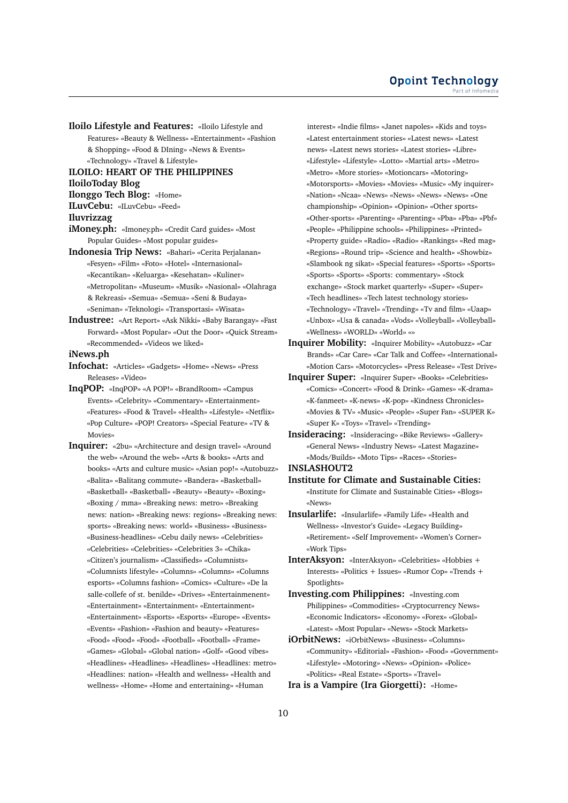**Iloilo Lifestyle and Features:** «Iloilo Lifestyle and Features» «Beauty & Wellness» «Entertainment» «Fashion & Shopping» «Food & DIning» «News & Events» «Technology» «Travel & Lifestyle»

**ILOILO: HEART OF THE PHILIPPINES IloiloToday Blog**

**Ilonggo Tech Blog:** «Home»

**ILuvCebu:** «ILuvCebu» «Feed»

**Iluvrizzag**

**iMoney.ph:** «Imoney.ph» «Credit Card guides» «Most Popular Guides» «Most popular guides»

**Indonesia Trip News:** «Bahari» «Cerita Perjalanan» «Fesyen» «Film» «Foto» «Hotel» «Internasional» «Kecantikan» «Keluarga» «Kesehatan» «Kuliner» «Metropolitan» «Museum» «Musik» «Nasional» «Olahraga & Rekreasi» «Semua» «Semua» «Seni & Budaya» «Seniman» «Teknologi» «Transportasi» «Wisata»

**Industree:** «Art Report» «Ask Nikki» «Baby Barangay» «Fast Forward» «Most Popular» «Out the Door» «Quick Stream» «Recommended» «Videos we liked»

**iNews.ph**

**Infochat:** «Articles» «Gadgets» «Home» «News» «Press Releases» «Video»

**InqPOP:** «InqPOP» «A POP!» «BrandRoom» «Campus Events» «Celebrity» «Commentary» «Entertainment» «Features» «Food & Travel» «Health» «Lifestyle» «Netflix» «Pop Culture» «POP! Creators» «Special Feature» «TV & Movies»

**Inquirer:** «2bu» «Architecture and design travel» «Around the web» «Around the web» «Arts & books» «Arts and books» «Arts and culture music» «Asian pop!» «Autobuzz» «Balita» «Balitang commute» «Bandera» «Basketball» «Basketball» «Basketball» «Beauty» «Beauty» «Boxing» «Boxing / mma» «Breaking news: metro» «Breaking news: nation» «Breaking news: regions» «Breaking news: sports» «Breaking news: world» «Business» «Business» «Business-headlines» «Cebu daily news» «Celebrities» «Celebrities» «Celebrities» «Celebrities 3» «Chika» «Citizen's journalism» «Classifieds» «Columnists» «Columnists lifestyle» «Columns» «Columns» «Columns esports» «Columns fashion» «Comics» «Culture» «De la salle-collefe of st. benilde» «Drives» «Entertainmenent» «Entertainment» «Entertainment» «Entertainment» «Entertainment» «Esports» «Esports» «Europe» «Events» «Events» «Fashion» «Fashion and beauty» «Features» «Food» «Food» «Food» «Football» «Football» «Frame» «Games» «Global» «Global nation» «Golf» «Good vibes» «Headlines» «Headlines» «Headlines» «Headlines: metro» «Headlines: nation» «Health and wellness» «Health and wellness» «Home» «Home and entertaining» «Human

interest» «Indie films» «Janet napoles» «Kids and toys» «Latest entertainment stories» «Latest news» «Latest news» «Latest news stories» «Latest stories» «Libre» «Lifestyle» «Lifestyle» «Lotto» «Martial arts» «Metro» «Metro» «More stories» «Motioncars» «Motoring» «Motorsports» «Movies» «Movies» «Music» «My inquirer» «Nation» «Ncaa» «News» «News» «News» «News» «One championship» «Opinion» «Opinion» «Other sports» «Other-sports» «Parenting» «Parenting» «Pba» «Pba» «Pbf» «People» «Philippine schools» «Philippines» «Printed» «Property guide» «Radio» «Radio» «Rankings» «Red mag» «Regions» «Round trip» «Science and health» «Showbiz» «Slambook ng sikat» «Special features» «Sports» «Sports» «Sports» «Sports» «Sports: commentary» «Stock exchange» «Stock market quarterly» «Super» «Super» «Tech headlines» «Tech latest technology stories» «Technology» «Travel» «Trending» «Tv and film» «Uaap» «Unbox» «Usa & canada» «Vods» «Volleyball» «Volleyball» «Wellness» «WORLD» «World» «»

**Inquirer Mobility:** «Inquirer Mobility» «Autobuzz» «Car Brands» «Car Care» «Car Talk and Coffee» «International» «Motion Cars» «Motorcycles» «Press Release» «Test Drive»

**Inquirer Super:** «Inquirer Super» «Books» «Celebrities» «Comics» «Concert» «Food & Drink» «Games» «K-drama» «K-fanmeet» «K-news» «K-pop» «Kindness Chronicles» «Movies & TV» «Music» «People» «Super Fan» «SUPER K» «Super K» «Toys» «Travel» «Trending»

**Insideracing:** «Insideracing» «Bike Reviews» «Gallery» «General News» «Industry News» «Latest Magazine» «Mods/Builds» «Moto Tips» «Races» «Stories»

**INSLASHOUT2**

**Institute for Climate and Sustainable Cities:** «Institute for Climate and Sustainable Cities» «Blogs» «News»

**Insularlife:** «Insularlife» «Family Life» «Health and Wellness» «Investor's Guide» «Legacy Building» «Retirement» «Self Improvement» «Women's Corner» «Work Tips»

**InterAksyon:** «InterAksyon» «Celebrities» «Hobbies + Interests» «Politics + Issues» «Rumor Cop» «Trends + Spotlights»

**Investing.com Philippines:** «Investing.com Philippines» «Commodities» «Cryptocurrency News» «Economic Indicators» «Economy» «Forex» «Global» «Latest» «Most Popular» «News» «Stock Markets»

**iOrbitNews:** «iOrbitNews» «Business» «Columns» «Community» «Editorial» «Fashion» «Food» «Government» «Lifestyle» «Motoring» «News» «Opinion» «Police» «Politics» «Real Estate» «Sports» «Travel»

**Ira is a Vampire (Ira Giorgetti):** «Home»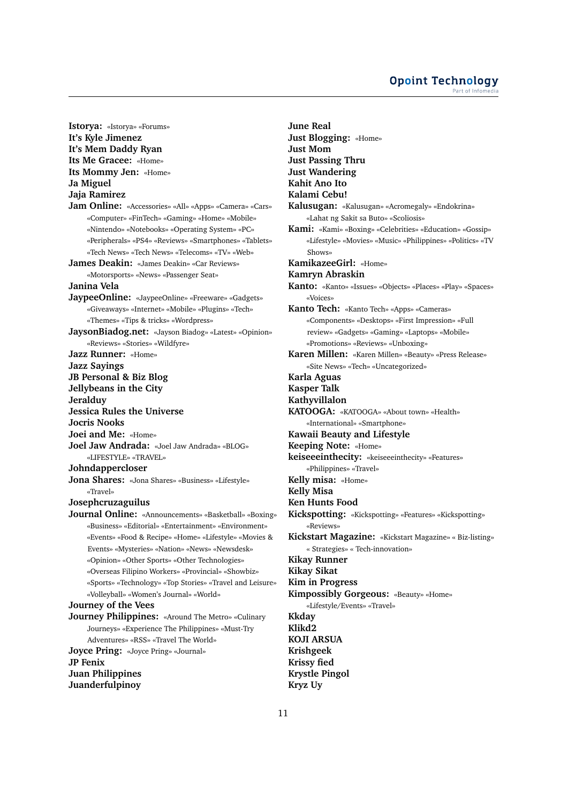#### **Opoint Technology** Part of Infomer

**Istorya:** «Istorya» «Forums» **It's Kyle Jimenez It's Mem Daddy Ryan Its Me Gracee:** «Home» **Its Mommy Jen:** «Home» **Ja Miguel Jaja Ramirez Jam Online:** «Accessories» «All» «Apps» «Camera» «Cars» «Computer» «FinTech» «Gaming» «Home» «Mobile» «Nintendo» «Notebooks» «Operating System» «PC» «Peripherals» «PS4» «Reviews» «Smartphones» «Tablets» «Tech News» «Tech News» «Telecoms» «TV» «Web» **James Deakin:** «James Deakin» «Car Reviews» «Motorsports» «News» «Passenger Seat» **Janina Vela JaypeeOnline:** «JaypeeOnline» «Freeware» «Gadgets» «Giveaways» «Internet» «Mobile» «Plugins» «Tech» «Themes» «Tips & tricks» «Wordpress» **JaysonBiadog.net:** «Jayson Biadog» «Latest» «Opinion» «Reviews» «Stories» «Wildfyre» **Jazz Runner:** «Home» **Jazz Sayings JB Personal & Biz Blog Jellybeans in the City Jeralduy Jessica Rules the Universe Jocris Nooks Joei and Me:** «Home» **Joel Jaw Andrada:** «Joel Jaw Andrada» «BLOG» «LIFESTYLE» «TRAVEL» **Johndappercloser Jona Shares:** «Jona Shares» «Business» «Lifestyle» «Travel» **Josephcruzaguilus Journal Online:** «Announcements» «Basketball» «Boxing» «Business» «Editorial» «Entertainment» «Environment» «Events» «Food & Recipe» «Home» «Lifestyle» «Movies & Events» «Mysteries» «Nation» «News» «Newsdesk» «Opinion» «Other Sports» «Other Technologies» «Overseas Filipino Workers» «Provincial» «Showbiz» «Sports» «Technology» «Top Stories» «Travel and Leisure» «Volleyball» «Women's Journal» «World» **Journey of the Vees Journey Philippines:** «Around The Metro» «Culinary Journeys» «Experience The Philippines» «Must-Try Adventures» «RSS» «Travel The World» **Joyce Pring:** «Joyce Pring» «Journal» **JP Fenix Juan Philippines Juanderfulpinoy**

**June Real Just Blogging:** «Home» **Just Mom Just Passing Thru Just Wandering Kahit Ano Ito Kalami Cebu! Kalusugan:** «Kalusugan» «Acromegaly» «Endokrina» «Lahat ng Sakit sa Buto» «Scoliosis» **Kami:** «Kami» «Boxing» «Celebrities» «Education» «Gossip» «Lifestyle» «Movies» «Music» «Philippines» «Politics» «TV Shows» **KamikazeeGirl:** «Home» **Kamryn Abraskin Kanto:** «Kanto» «Issues» «Objects» «Places» «Play» «Spaces» «Voices» **Kanto Tech:** «Kanto Tech» «Apps» «Cameras» «Components» «Desktops» «First Impression» «Full review» «Gadgets» «Gaming» «Laptops» «Mobile» «Promotions» «Reviews» «Unboxing» **Karen Millen:** «Karen Millen» «Beauty» «Press Release» «Site News» «Tech» «Uncategorized» **Karla Aguas Kasper Talk Kathyvillalon KATOOGA:** «KATOOGA» «About town» «Health» «International» «Smartphone» **Kawaii Beauty and Lifestyle Keeping Note:** «Home» **keiseeeinthecity:** «keiseeeinthecity» «Features» «Philippines» «Travel» **Kelly misa:** «Home» **Kelly Misa Ken Hunts Food Kickspotting:** «Kickspotting» «Features» «Kickspotting» «Reviews» **Kickstart Magazine:** «Kickstart Magazine» « Biz-listing» « Strategies» « Tech-innovation» **Kikay Runner Kikay Sikat Kim in Progress Kimpossibly Gorgeous:** «Beauty» «Home» «Lifestyle/Events» «Travel» **Kkday Klikd2 KOJI ARSUA Krishgeek Krissy fied Krystle Pingol Kryz Uy**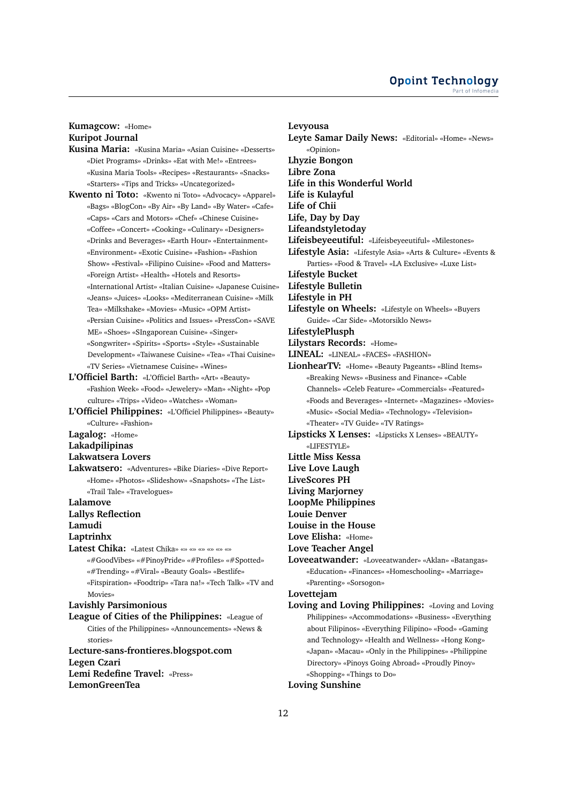# **Kumagcow:** «Home» **Kuripot Journal**

- **Kusina Maria:** «Kusina Maria» «Asian Cuisine» «Desserts» «Diet Programs» «Drinks» «Eat with Me!» «Entrees» «Kusina Maria Tools» «Recipes» «Restaurants» «Snacks» «Starters» «Tips and Tricks» «Uncategorized»
- **Kwento ni Toto:** «Kwento ni Toto» «Advocacy» «Apparel» «Bags» «BlogCon» «By Air» «By Land» «By Water» «Cafe» «Caps» «Cars and Motors» «Chef» «Chinese Cuisine» «Coffee» «Concert» «Cooking» «Culinary» «Designers» «Drinks and Beverages» «Earth Hour» «Entertainment» «Environment» «Exotic Cuisine» «Fashion» «Fashion Show» «Festival» «Filipino Cuisine» «Food and Matters» «Foreign Artist» «Health» «Hotels and Resorts» «International Artist» «Italian Cuisine» «Japanese Cuisine» «Jeans» «Juices» «Looks» «Mediterranean Cuisine» «Milk Tea» «Milkshake» «Movies» «Music» «OPM Artist» «Persian Cuisine» «Politics and Issues» «PressCon» «SAVE ME» «Shoes» «SIngaporean Cuisine» «Singer» «Songwriter» «Spirits» «Sports» «Style» «Sustainable Development» «Taiwanese Cuisine» «Tea» «Thai Cuisine» «TV Series» «Vietnamese Cuisine» «Wines»
- **L'Officiel Barth:** «L'Officiel Barth» «Art» «Beauty» «Fashion Week» «Food» «Jewelery» «Man» «Night» «Pop culture» «Trips» «Video» «Watches» «Woman»
- **L'Officiel Philippines:** «L'Officiel Philippines» «Beauty» «Culture» «Fashion»

**Lagalog:** «Home»

**Lakadpilipinas**

## **Lakwatsera Lovers**

**Lakwatsero:** «Adventures» «Bike Diaries» «Dive Report» «Home» «Photos» «Slideshow» «Snapshots» «The List» «Trail Tale» «Travelogues»

**Lalamove**

**Lallys Reflection**

**Lamudi**

**Laptrinhx**

**Latest Chika:** «Latest Chika» «» «» «» «» «» «» «#GoodVibes» «#PinoyPride» «#Profiles» «#Spotted» «#Trending» «#Viral» «Beauty Goals» «Bestlife» «Fitspiration» «Foodtrip» «Tara na!» «Tech Talk» «TV and Movies»

## **Lavishly Parsimonious**

**League of Cities of the Philippines:** «League of Cities of the Philippines» «Announcements» «News & stories»

**Lecture-sans-frontieres.blogspot.com Legen Czari Lemi Redefine Travel:** «Press» **LemonGreenTea**

#### **Levyousa**

**Leyte Samar Daily News:** «Editorial» «Home» «News» «Opinion» **Lhyzie Bongon Libre Zona Life in this Wonderful World Life is Kulayful Life of Chii Life, Day by Day Lifeandstyletoday Lifeisbeyeeutiful:** «Lifeisbeyeeutiful» «Milestones» **Lifestyle Asia:** «Lifestyle Asia» «Arts & Culture» «Events & Parties» «Food & Travel» «LA Exclusive» «Luxe List» **Lifestyle Bucket Lifestyle Bulletin Lifestyle in PH Lifestyle on Wheels:** «Lifestyle on Wheels» «Buyers Guide» «Car Side» «Motorsiklo News» **LifestylePlusph Lilystars Records:** «Home» **LINEAL:** «LINEAL» «FACES» «FASHION» **LionhearTV:** «Home» «Beauty Pageants» «Blind Items» «Breaking News» «Business and Finance» «Cable Channels» «Celeb Feature» «Commercials» «Featured» «Foods and Beverages» «Internet» «Magazines» «Movies» «Music» «Social Media» «Technology» «Television» «Theater» «TV Guide» «TV Ratings» **Lipsticks X Lenses:** «Lipsticks X Lenses» «BEAUTY» «LIFESTYLE» **Little Miss Kessa Live Love Laugh LiveScores PH Living Marjorney LoopMe Philippines Louie Denver Louise in the House Love Elisha:** «Home» **Love Teacher Angel Loveeatwander:** «Loveeatwander» «Aklan» «Batangas» «Education» «Finances» «Homeschooling» «Marriage» «Parenting» «Sorsogon» **Lovettejam Loving and Loving Philippines:** «Loving and Loving Philippines» «Accommodations» «Business» «Everything about Filipinos» «Everything Filipino» «Food» «Gaming and Technology» «Health and Wellness» «Hong Kong» «Japan» «Macau» «Only in the Philippines» «Philippine Directory» «Pinoys Going Abroad» «Proudly Pinoy»

«Shopping» «Things to Do»

## **Loving Sunshine**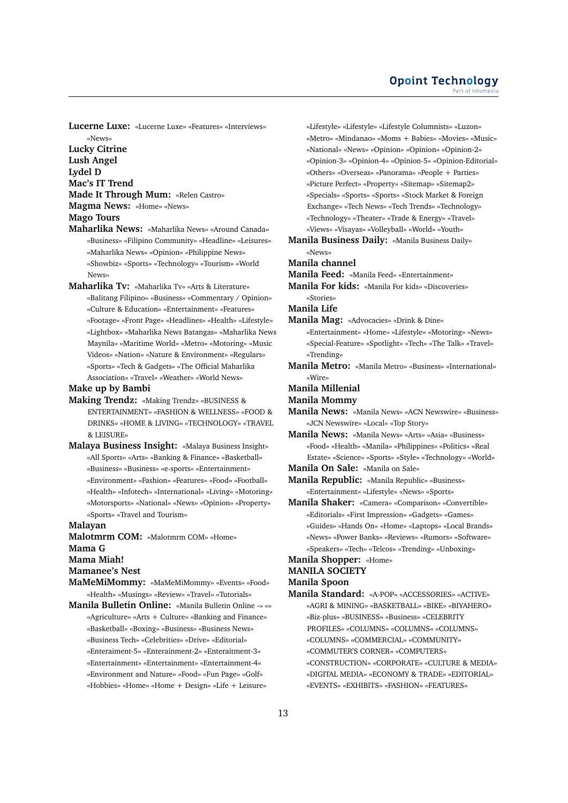**Lucerne Luxe:** «Lucerne Luxe» «Features» «Interviews» «News»

**Lucky Citrine Lush Angel Lydel D Mac's IT Trend Made It Through Mum:** «Relen Castro»

**Magma News:** «Home» «News»

**Mago Tours**

- **Maharlika News:** «Maharlika News» «Around Canada» «Business» «Filipino Community» «Headline» «Leisures» «Maharlika News» «Opinion» «Philippine News» «Showbiz» «Sports» «Technology» «Tourism» «World News»
- **Maharlika Tv:** «Maharlika Tv» «Arts & Literature» «Balitang Filipino» «Business» «Commentary / Opinion» «Culture & Education» «Entertainment» «Features» «Footage» «Front Page» «Headlines» «Health» «Lifestyle» «Lightbox» «Maharlika News Batangas» «Maharlika News Maynila» «Maritime World» «Metro» «Motoring» «Music Videos» «Nation» «Nature & Environment» «Regulars» «Sports» «Tech & Gadgets» «The Official Maharlika Association» «Travel» «Weather» «World News»

## **Make up by Bambi**

- **Making Trendz:** «Making Trendz» «BUSINESS & ENTERTAINMENT» «FASHION & WELLNESS» «FOOD & DRINKS» «HOME & LIVING» «TECHNOLOGY» «TRAVEL & LEISURE»
- **Malaya Business Insight:** «Malaya Business Insight» «All Sports» «Arts» «Banking & Finance» «Basketball» «Business» «Business» «e-sports» «Entertainment» «Environment» «Fashion» «Features» «Food» «Football» «Health» «Infotech» «International» «Living» «Motoring» «Motorsports» «National» «News» «Opinion» «Property» «Sports» «Travel and Tourism»

#### **Malayan**

**Malotmrm COM:** «Malotmrm COM» «Home» **Mama G**

**Mama Miah!**

**Mamanee's Nest**

- **MaMeMiMommy:** «MaMeMiMommy» «Events» «Food» «Health» «Musings» «Review» «Travel» «Tutorials»
- **Manila Bulletin Online:** «Manila Bulletin Online -» «» «Agriculture» «Arts + Culture» «Banking and Finance» «Basketball» «Boxing» «Business» «Business News»
	- «Business Tech» «Celebrities» «Drive» «Editorial»
	- «Enteraiment-5» «Enterainment-2» «Enteraitment-3»
	- «Entertainment» «Entertainment» «Entertainment-4»
	- «Environment and Nature» «Food» «Fun Page» «Golf» «Hobbies» «Home» «Home + Design» «Life + Leisure»
- «Lifestyle» «Lifestyle» «Lifestyle Columnists» «Luzon» «Metro» «Mindanao» «Moms + Babies» «Movies» «Music» «National» «News» «Opinion» «Opinion» «Opinion-2» «Opinion-3» «Opinion-4» «Opinion-5» «Opinion-Editorial» «Others» «Overseas» «Panorama» «People + Parties» «Picture Perfect» «Property» «Sitemap» «Sitemap2» «Specials» «Sports» «Sports» «Stock Market & Foreign Exchange» «Tech News» «Tech Trends» «Technology» «Technology» «Theater» «Trade & Energy» «Travel»
- «Views» «Visayas» «Volleyball» «World» «Youth» **Manila Business Daily:** «Manila Business Daily» «News»

#### **Manila channel**

**Manila Feed:** «Manila Feed» «Entertainment»

**Manila For kids:** «Manila For kids» «Discoveries» «Stories»

- **Manila Life**
- **Manila Mag:** «Advocacies» «Drink & Dine» «Entertainment» «Home» «Lifestyle» «Motoring» «News» «Special-Feature» «Spotlight» «Tech» «The Talk» «Travel» «Trending»
- **Manila Metro:** «Manila Metro» «Business» «International» «Wire»

**Manila Millenial**

- **Manila Mommy**
- **Manila News:** «Manila News» «ACN Newswire» «Business» «JCN Newswire» «Local» «Top Story»

**Manila News:** «Manila News» «Arts» «Asia» «Business» «Food» «Health» «Manila» «Philippines» «Politics» «Real Estate» «Science» «Sports» «Style» «Technology» «World»

- **Manila On Sale:** «Manila on Sale»
- **Manila Republic:** «Manila Republic» «Business» «Entertainment» «Lifestyle» «News» «Sports»

**Manila Shaker:** «Camera» «Comparison» «Convertible» «Editorials» «First Impression» «Gadgets» «Games» «Guides» «Hands On» «Home» «Laptops» «Local Brands» «News» «Power Banks» «Reviews» «Rumors» «Software» «Speakers» «Tech» «Telcos» «Trending» «Unboxing»

## **Manila Shopper:** «Home»

# **MANILA SOCIETY**

## **Manila Spoon**

**Manila Standard:** «A-POP» «ACCESSORIES» «ACTIVE» «AGRI & MINING» «BASKETBALL» «BIKE» «BIYAHERO» «Biz-plus» «BUSINESS» «Business» «CELEBRITY PROFILES» «COLUMNS» «COLUMNS» «COLUMNS» «COLUMNS» «COMMERCIAL» «COMMUNITY» «COMMUTER'S CORNER» «COMPUTERS» «CONSTRUCTION» «CORPORATE» «CULTURE & MEDIA» «DIGITAL MEDIA» «ECONOMY & TRADE» «EDITORIAL» «EVENTS» «EXHIBITS» «FASHION» «FEATURES»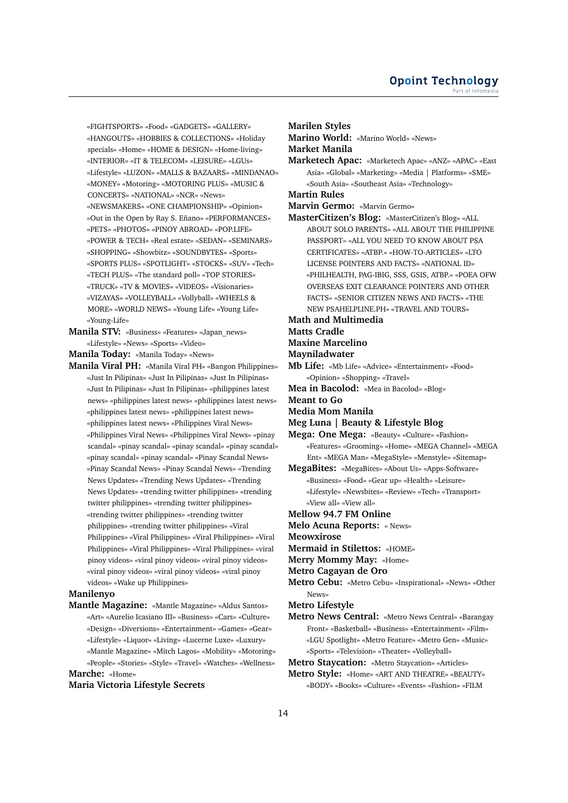«FIGHTSPORTS» «Food» «GADGETS» «GALLERY» «HANGOUTS» «HOBBIES & COLLECTIONS» «Holiday specials» «Home» «HOME & DESIGN» «Home-living» «INTERIOR» «IT & TELECOM» «LEISURE» «LGUs» «Lifestyle» «LUZON» «MALLS & BAZAARS» «MINDANAO» «MONEY» «Motoring» «MOTORING PLUS» «MUSIC & CONCERTS» «NATIONAL» «NCR» «News» «NEWSMAKERS» «ONE CHAMPIONSHIP» «Opinion» «Out in the Open by Ray S. Eñano» «PERFORMANCES» «PETS» «PHOTOS» «PINOY ABROAD» «POP.LIFE» «POWER & TECH» «Real estate» «SEDAN» «SEMINARS» «SHOPPING» «Showbitz» «SOUNDBYTES» «Sports» «SPORTS PLUS» «SPOTLIGHT» «STOCKS» «SUV» «Tech» «TECH PLUS» «The standard poll» «TOP STORIES» «TRUCK» «TV & MOVIES» «VIDEOS» «Visionaries» «VIZAYAS» «VOLLEYBALL» «Vollyball» «WHEELS & MORE» «WORLD NEWS» «Young Life» «Young Life» «Young-Life»

**Manila STV:** «Business» «Features» «Japan\_news» «Lifestyle» «News» «Sports» «Video»

**Manila Today:** «Manila Today» «News»

**Manila Viral PH:** «Manila Viral PH» «Bangon Philippines» «Just In Pilipinas» «Just In Pilipinas» «Just In Pilipinas» «Just In Pilipinas» «Just In Pilipinas» «philippines latest news» «philippines latest news» «philippines latest news» «philippines latest news» «philippines latest news» «philippines latest news» «Philippines Viral News» «Philippines Viral News» «Philippines Viral News» «pinay scandal» «pinay scandal» «pinay scandal» «pinay scandal» «pinay scandal» «pinay scandal» «Pinay Scandal News» «Pinay Scandal News» «Pinay Scandal News» «Trending News Updates» «Trending News Updates» «Trending News Updates» «trending twitter philippines» «trending twitter philippines» «trending twitter philippines» «trending twitter philippines» «trending twitter philippines» «trending twitter philippines» «Viral Philippines» «Viral Philippines» «Viral Philippines» «Viral Philippines» «Viral Philippines» «Viral Philippines» «viral pinoy videos» «viral pinoy videos» «viral pinoy videos» «viral pinoy videos» «viral pinoy videos» «viral pinoy videos» «Wake up Philippines»

#### **Manilenyo**

**Mantle Magazine:** «Mantle Magazine» «Aldus Santos» «Art» «Aurelio Icasiano III» «Business» «Cars» «Culture» «Design» «Diversions» «Entertainment» «Games» «Gear» «Lifestyle» «Liquor» «Living» «Lucerne Luxe» «Luxury» «Mantle Magazine» «Mitch Lagos» «Mobility» «Motoring» «People» «Stories» «Style» «Travel» «Watches» «Wellness» **Marche:** «Home»

#### **Maria Victoria Lifestyle Secrets**

**Marilen Styles**

**Marino World:** «Marino World» «News»

**Market Manila**

**Marketech Apac:** «Marketech Apac» «ANZ» «APAC» «East Asia» «Global» «Marketing» «Media | Platforms» «SME» «South Asia» «Southeast Asia» «Technology»

**Martin Rules**

**Marvin Germo:** «Marvin Germo»

**MasterCitizen's Blog:** «MasterCitizen's Blog» «ALL ABOUT SOLO PARENTS» «ALL ABOUT THE PHILIPPINE PASSPORT» «ALL YOU NEED TO KNOW ABOUT PSA CERTIFICATES» «ATBP.» «HOW-TO-ARTICLES» «LTO LICENSE POINTERS AND FACTS» «NATIONAL ID» «PHILHEALTH, PAG-IBIG, SSS, GSIS, ATBP.» «POEA OFW OVERSEAS EXIT CLEARANCE POINTERS AND OTHER FACTS» «SENIOR CITIZEN NEWS AND FACTS» «THE NEW PSAHELPLINE.PH» «TRAVEL AND TOURS»

#### **Math and Multimedia**

**Matts Cradle**

#### **Maxine Marcelino**

**Mayniladwater**

- **Mb Life:** «Mb Life» «Advice» «Entertainment» «Food» «Opinion» «Shopping» «Travel»
- **Mea in Bacolod:** «Mea in Bacolod» «Blog»
- **Meant to Go**

**Media Mom Manila**

**Meg Luna | Beauty & Lifestyle Blog**

**Mega: One Mega:** «Beauty» «Culture» «Fashion» «Features» «Grooming» «Home» «MEGA Channel» «MEGA Ent» «MEGA Man» «MegaStyle» «Menstyle» «Sitemap»

**MegaBites:** «MegaBites» «About Us» «Apps-Software» «Business» «Food» «Gear up» «Health» «Leisure» «Lifestyle» «Newsbites» «Review» «Tech» «Transport» «View all» «View all»

- **Mellow 94.7 FM Online**
- **Melo Acuna Reports:** « News»

**Meowxirose**

- **Mermaid in Stilettos:** «HOME»
- **Merry Mommy May:** «Home»
- **Metro Cagayan de Oro**
- **Metro Cebu:** «Metro Cebu» «Inspirational» «News» «Other News»
- **Metro Lifestyle**
- **Metro News Central:** «Metro News Central» «Barangay Front» «Basketball» «Business» «Entertainment» «Film» «LGU Spotlight» «Metro Feature» «Metro Gen» «Music» «Sports» «Television» «Theater» «Volleyball»
- **Metro Staycation:** «Metro Staycation» «Articles» **Metro Style:** «Home» «ART AND THEATRE» «BEAUTY» «BODY» «Books» «Culture» «Events» «Fashion» «FILM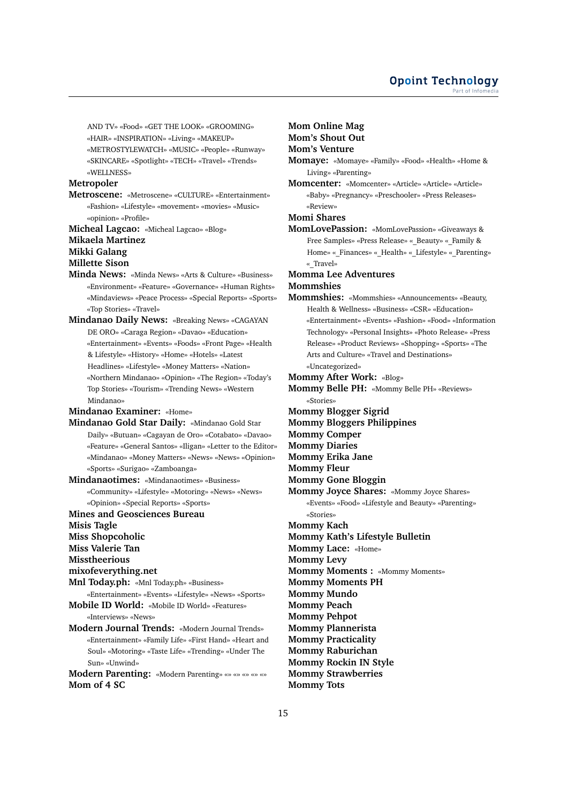AND TV» «Food» «GET THE LOOK» «GROOMING»

«HAIR» «INSPIRATION» «Living» «MAKEUP»

«METROSTYLEWATCH» «MUSIC» «People» «Runway» «SKINCARE» «Spotlight» «TECH» «Travel» «Trends»

«WELLNESS»

## **Metropoler**

**Metroscene:** «Metroscene» «CULTURE» «Entertainment» «Fashion» «Lifestyle» «movement» «movies» «Music» «opinion» «Profile»

**Micheal Lagcao:** «Micheal Lagcao» «Blog»

# **Mikaela Martinez**

**Mikki Galang**

# **Millette Sison**

- **Minda News:** «Minda News» «Arts & Culture» «Business» «Environment» «Feature» «Governance» «Human Rights» «Mindaviews» «Peace Process» «Special Reports» «Sports» «Top Stories» «Travel»
- **Mindanao Daily News:** «Breaking News» «CAGAYAN DE ORO» «Caraga Region» «Davao» «Education» «Entertainment» «Events» «Foods» «Front Page» «Health & Lifestyle» «History» «Home» «Hotels» «Latest Headlines» «Lifestyle» «Money Matters» «Nation» «Northern Mindanao» «Opinion» «The Region» «Today's Top Stories» «Tourism» «Trending News» «Western Mindanao»

**Mindanao Examiner:** «Home»

- **Mindanao Gold Star Daily:** «Mindanao Gold Star Daily» «Butuan» «Cagayan de Oro» «Cotabato» «Davao» «Feature» «General Santos» «Iligan» «Letter to the Editor» «Mindanao» «Money Matters» «News» «News» «Opinion» «Sports» «Surigao» «Zamboanga»
- **Mindanaotimes:** «Mindanaotimes» «Business» «Community» «Lifestyle» «Motoring» «News» «News» «Opinion» «Special Reports» «Sports»

#### **Mines and Geosciences Bureau**

**Misis Tagle**

- **Miss Shopcoholic**
- **Miss Valerie Tan**
- **Misstheerious**
- **mixofeverything.net**
- **Mnl Today.ph:** «Mnl Today.ph» «Business»
- «Entertainment» «Events» «Lifestyle» «News» «Sports»
- **Mobile ID World:** «Mobile ID World» «Features» «Interviews» «News»
- **Modern Journal Trends:** «Modern Journal Trends» «Entertainment» «Family Life» «First Hand» «Heart and Soul» «Motoring» «Taste Life» «Trending» «Under The Sun» «Unwind»
- **Modern Parenting:** «Modern Parenting» «» «» «» «» «» **Mom of 4 SC**

## **Mom Online Mag**

**Mom's Shout Out**

## **Mom's Venture**

**Momaye:** «Momaye» «Family» «Food» «Health» «Home & Living» «Parenting»

**Momcenter:** «Momcenter» «Article» «Article» «Article» «Baby» «Pregnancy» «Preschooler» «Press Releases» «Review»

## **Momi Shares**

**MomLovePassion:** «MomLovePassion» «Giveaways & Free Samples» «Press Release» «\_Beauty» «\_Family & Home» «\_Finances» «\_Health» «\_Lifestyle» «\_Parenting» «\_Travel»

#### **Momma Lee Adventures Mommshies**

**Mommshies:** «Mommshies» «Announcements» «Beauty, Health & Wellness» «Business» «CSR» «Education» «Entertainment» «Events» «Fashion» «Food» «Information Technology» «Personal Insights» «Photo Release» «Press Release» «Product Reviews» «Shopping» «Sports» «The Arts and Culture» «Travel and Destinations» «Uncategorized»

**Mommy After Work:** «Blog»

- **Mommy Belle PH:** «Mommy Belle PH» «Reviews» «Stories»
- **Mommy Blogger Sigrid**
- **Mommy Bloggers Philippines**
- **Mommy Comper**

**Mommy Diaries**

**Mommy Erika Jane**

- **Mommy Fleur**
- **Mommy Gone Bloggin**
- **Mommy Joyce Shares:** «Mommy Joyce Shares» «Events» «Food» «Lifestyle and Beauty» «Parenting» «Stories»
- **Mommy Kach**
- **Mommy Kath's Lifestyle Bulletin**
- **Mommy Lace:** «Home»

**Mommy Levy**

- **Mommy Moments :** «Mommy Moments»
- **Mommy Moments PH**

**Mommy Mundo**

- **Mommy Peach**
- **Mommy Pehpot**
- **Mommy Plannerista**
- **Mommy Practicality**
- **Mommy Raburichan**
- **Mommy Rockin IN Style**
- **Mommy Strawberries**
- **Mommy Tots**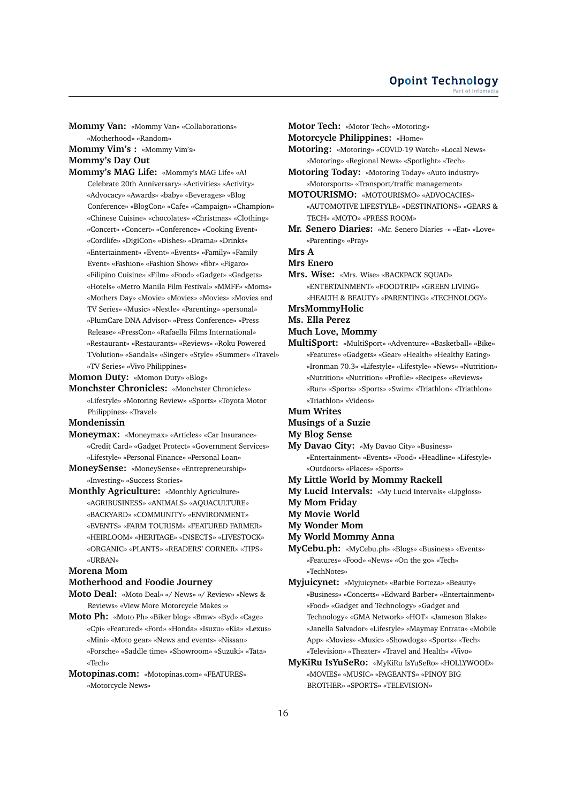**Mommy Van:** «Mommy Van» «Collaborations»

«Motherhood» «Random»

**Mommy Vim's :** «Mommy Vim's» **Mommy's Day Out**

**Mommy's MAG Life:** «Mommy's MAG Life» «A! Celebrate 20th Anniversary» «Activities» «Activity» «Advocacy» «Awards» «baby» «Beverages» «Blog Conference» «BlogCon» «Cafe» «Campaign» «Champion» «Chinese Cuisine» «chocolates» «Christmas» «Clothing» «Concert» «Concert» «Conference» «Cooking Event» «Cordlife» «DigiCon» «Dishes» «Drama» «Drinks» «Entertainment» «Event» «Events» «Family» «Family Event» «Fashion» «Fashion Show» «fibr» «Figaro» «Filipino Cuisine» «Film» «Food» «Gadget» «Gadgets» «Hotels» «Metro Manila Film Festival» «MMFF» «Moms» «Mothers Day» «Movie» «Movies» «Movies» «Movies and TV Series» «Music» «Nestle» «Parenting» «personal» «PlumCare DNA Advisor» «Press Conference» «Press Release» «PressCon» «Rafaella Films International» «Restaurant» «Restaurants» «Reviews» «Roku Powered TVolution» «Sandals» «Singer» «Style» «Summer» «Travel» «TV Series» «Vivo Philippines»

**Momon Duty:** «Momon Duty» «Blog»

**Monchster Chronicles:** «Monchster Chronicles» «Lifestyle» «Motoring Review» «Sports» «Toyota Motor Philippines» «Travel»

## **Mondenissin**

- **Moneymax:** «Moneymax» «Articles» «Car Insurance» «Credit Card» «Gadget Protect» «Government Services» «Lifestyle» «Personal Finance» «Personal Loan»
- **MoneySense:** «MoneySense» «Entrepreneurship» «Investing» «Success Stories»
- **Monthly Agriculture:** «Monthly Agriculture» «AGRIBUSINESS» «ANIMALS» «AQUACULTURE» «BACKYARD» «COMMUNITY» «ENVIRONMENT» «EVENTS» «FARM TOURISM» «FEATURED FARMER»
	- «HEIRLOOM» «HERITAGE» «INSECTS» «LIVESTOCK» «ORGANIC» «PLANTS» «READERS' CORNER» «TIPS» «URBAN»

## **Morena Mom**

## **Motherhood and Foodie Journey**

- **Moto Deal:** «Moto Deal» «/ News» «/ Review» «News & Reviews» «View More Motorcycle Makes ›»
- **Moto Ph:** «Moto Ph» «Biker blog» «Bmw» «Byd» «Cage» «Cpi» «Featured» «Ford» «Honda» «Isuzu» «Kia» «Lexus» «Mini» «Moto gear» «News and events» «Nissan» «Porsche» «Saddle time» «Showroom» «Suzuki» «Tata» «Tech»
- **Motopinas.com:** «Motopinas.com» «FEATURES» «Motorcycle News»
- **Motor Tech:** «Motor Tech» «Motoring» **Motorcycle Philippines:** «Home» **Motoring:** «Motoring» «COVID-19 Watch» «Local News» «Motoring» «Regional News» «Spotlight» «Tech» **Motoring Today:** «Motoring Today» «Auto industry» «Motorsports» «Transport/traffic management» **MOTOURISMO:** «MOTOURISMO» «ADVOCACIES» «AUTOMOTIVE LIFESTYLE» «DESTINATIONS» «GEARS & TECH» «MOTO» «PRESS ROOM» **Mr. Senero Diaries:** «Mr. Senero Diaries -» «Eat» «Love» «Parenting» «Pray» **Mrs A Mrs Enero Mrs. Wise:** «Mrs. Wise» «BACKPACK SQUAD» «ENTERTAINMENT» «FOODTRIP» «GREEN LIVING» «HEALTH & BEAUTY» «PARENTING» «TECHNOLOGY» **MrsMommyHolic Ms. Ella Perez Much Love, Mommy MultiSport:** «MultiSport» «Adventure» «Basketball» «Bike»
- «Features» «Gadgets» «Gear» «Health» «Healthy Eating» «Ironman 70.3» «Lifestyle» «Lifestyle» «News» «Nutrition» «Nutrition» «Nutrition» «Profile» «Recipes» «Reviews» «Run» «Sports» «Sports» «Swim» «Triathlon» «Triathlon» «Triathlon» «Videos»
- **Mum Writes**
- **Musings of a Suzie**
- **My Blog Sense**
- **My Davao City:** «My Davao City» «Business» «Entertainment» «Events» «Food» «Headline» «Lifestyle» «Outdoors» «Places» «Sports»
- **My Little World by Mommy Rackell**
- **My Lucid Intervals:** «My Lucid Intervals» «Lipgloss»
- **My Mom Friday**
- **My Movie World**
- **My Wonder Mom**
- **My World Mommy Anna**
- **MyCebu.ph:** «MyCebu.ph» «Blogs» «Business» «Events» «Features» «Food» «News» «On the go» «Tech» «TechNotes»
- **Myjuicynet:** «Myjuicynet» «Barbie Forteza» «Beauty» «Business» «Concerts» «Edward Barber» «Entertainment» «Food» «Gadget and Technology» «Gadget and Technology» «GMA Network» «HOT» «Jameson Blake» «Janella Salvador» «Lifestyle» «Maymay Entrata» «Mobile App» «Movies» «Music» «Showdogs» «Sports» «Tech» «Television» «Theater» «Travel and Health» «Vivo»
- **MyKiRu IsYuSeRo:** «MyKiRu IsYuSeRo» «HOLLYWOOD» «MOVIES» «MUSIC» «PAGEANTS» «PINOY BIG BROTHER» «SPORTS» «TELEVISION»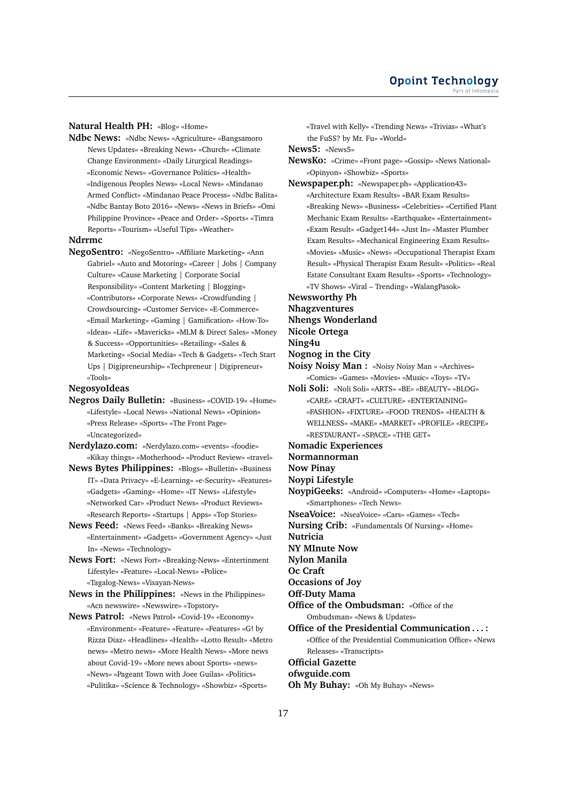#### **Natural Health PH:** «Blog» «Home»

**Ndbc News:** «Ndbc News» «Agriculture» «Bangsamoro News Updates» «Breaking News» «Church» «Climate Change Environment» «Daily Liturgical Readings» «Economic News» «Governance Politics» «Health» «Indigenous Peoples News» «Local News» «Mindanao Armed Conflict» «Mindanao Peace Process» «Ndbc Balita» «Ndbc Bantay Boto 2016» «News» «News in Briefs» «Omi Philippine Province» «Peace and Order» «Sports» «Timra Reports» «Tourism» «Useful Tips» «Weather»

#### **Ndrrmc**

**NegoSentro:** «NegoSentro» «Affiliate Marketing» «Ann Gabriel» «Auto and Motoring» «Career | Jobs | Company Culture» «Cause Marketing | Corporate Social Responsibility» «Content Marketing | Blogging» «Contributors» «Corporate News» «Crowdfunding | Crowdsourcing» «Customer Service» «E-Commerce» «Email Marketing» «Gaming | Gamification» «How-To» «Ideas» «Life» «Mavericks» «MLM & Direct Sales» «Money & Success» «Opportunities» «Retailing» «Sales & Marketing» «Social Media» «Tech & Gadgets» «Tech Start Ups | Digipreneurship» «Techpreneur | Digipreneur» «Tools»

## **NegosyoIdeas**

- **Negros Daily Bulletin:** «Business» «COVID-19» «Home» «Lifestyle» «Local News» «National News» «Opinion» «Press Release» «Sports» «The Front Page» «Uncategorized»
- **Nerdylazo.com:** «Nerdylazo.com» «events» «foodie» «Kikay things» «Motherhood» «Product Review» «travel»
- **News Bytes Philippines:** «Blogs» «Bulletin» «Business IT» «Data Privacy» «E-Learning» «e-Security» «Features» «Gadgets» «Gaming» «Home» «IT News» «Lifestyle» «Networked Car» «Product News» «Product Reviews» «Research Reports» «Startups | Apps» «Top Stories»
- **News Feed:** «News Feed» «Banks» «Breaking News» «Entertainment» «Gadgets» «Government Agency» «Just In» «News» «Technology»
- **News Fort:** «News Fort» «Breaking-News» «Entertinment Lifestyle» «Feature» «Local-News» «Police» «Tagalog-News» «Visayan-News»
- **News in the Philippines:** «News in the Philippines» «Acn newswire» «Newswire» «Topstory»
- **News Patrol:** «News Patrol» «Covid-19» «Economy» «Environment» «Feature» «Feature» «Features» «G! by Rizza Diaz» «Headlines» «Health» «Lotto Result» «Metro news» «Metro news» «More Health News» «More news about Covid-19» «More news about Sports» «news» «News» «Pageant Town with Joee Guilas» «Politics» «Pulitika» «Science & Technology» «Showbiz» «Sports»

«Travel with Kelly» «Trending News» «Trivias» «What's the FuSS? by Mr. Fu» «World»

**News5:** «News5»

- **NewsKo:** «Crime» «Front page» «Gossip» «News National» «Opinyon» «Showbiz» «Sports»
- **Newspaper.ph:** «Newspaper.ph» «Application43» «Architecture Exam Results» «BAR Exam Results» «Breaking News» «Business» «Celebrities» «Certified Plant Mechanic Exam Results» «Earthquake» «Entertainment» «Exam Result» «Gadget144» «Just In» «Master Plumber Exam Results» «Mechanical Engineering Exam Results» «Movies» «Music» «News» «Occupational Therapist Exam Result» «Physical Therapist Exam Result» «Politics» «Real Estate Consultant Exam Results» «Sports» «Technology» «TV Shows» «Viral – Trending» «WalangPasok»

**Newsworthy Ph**

### **Nhagzventures**

**Nhengs Wonderland**

**Nicole Ortega**

- **Ning4u**
- **Nognog in the City**
- **Noisy Noisy Man :** «Noisy Noisy Man » «Archives» «Comics» «Games» «Movies» «Music» «Toys» «TV»
- **Noli Soli:** «Noli Soli» «ARTS» «BE» «BEAUTY» «BLOG» «CARE» «CRAFT» «CULTURE» «ENTERTAINING» «FASHION» «FIXTURE» «FOOD TRENDS» «HEALTH & WELLNESS» «MAKE» «MARKET» «PROFILE» «RECIPE» «RESTAURANT» «SPACE» «THE GET»

## **Nomadic Experiences**

**Normannorman**

**Now Pinay**

**Noypi Lifestyle**

- **NoypiGeeks:** «Android» «Computers» «Home» «Laptops» «Smartphones» «Tech News»
- **NseaVoice:** «NseaVoice» «Cars» «Games» «Tech»
- **Nursing Crib:** «Fundamentals Of Nursing» «Home»

**Nutricia**

**NY MInute Now**

**Nylon Manila**

**Oc Craft**

**Occasions of Joy**

- **Off-Duty Mama**
- **Office of the Ombudsman:** «Office of the

Ombudsman» «News & Updates»

**Office of the Presidential Communication . . . :**

«Office of the Presidential Communication Office» «News Releases» «Transcripts»

## **Official Gazette**

## **ofwguide.com**

**Oh My Buhay:** «Oh My Buhay» «News»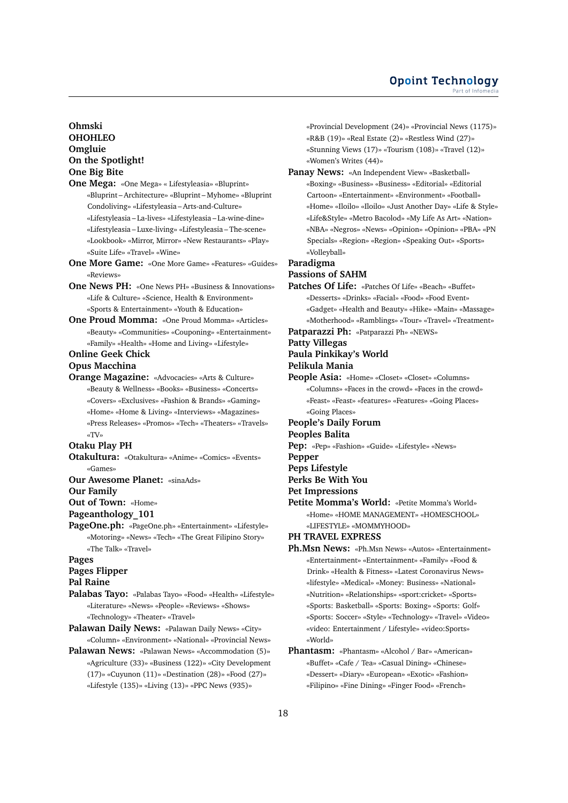#### **Opoint Technology** Part of Infomed

## **Ohmski OHOHLEO Omgluie On the Spotlight! One Big Bite**

- **One Mega:** «One Mega» « Lifestyleasia» «Bluprint» «Bluprint – Architecture» «Bluprint – Myhome» «Bluprint Condoliving» «Lifestyleasia – Arts-and-Culture» «Lifestyleasia – La-lives» «Lifestyleasia – La-wine-dine» «Lifestyleasia – Luxe-living» «Lifestyleasia – The-scene» «Lookbook» «Mirror, Mirror» «New Restaurants» «Play» «Suite Life» «Travel» «Wine»
- **One More Game:** «One More Game» «Features» «Guides» «Reviews»
- **One News PH:** «One News PH» «Business & Innovations» «Life & Culture» «Science, Health & Environment» «Sports & Entertainment» «Youth & Education»
- **One Proud Momma:** «One Proud Momma» «Articles» «Beauty» «Communities» «Couponing» «Entertainment» «Family» «Health» «Home and Living» «Lifestyle»

# **Online Geek Chick**

## **Opus Macchina**

**Orange Magazine:** «Advocacies» «Arts & Culture» «Beauty & Wellness» «Books» «Business» «Concerts» «Covers» «Exclusives» «Fashion & Brands» «Gaming» «Home» «Home & Living» «Interviews» «Magazines» «Press Releases» «Promos» «Tech» «Theaters» «Travels» «TV»

## **Otaku Play PH**

- **Otakultura:** «Otakultura» «Anime» «Comics» «Events» «Games»
- **Our Awesome Planet:** «sinaAds»

**Our Family**

**Out of Town:** «Home»

**Pageanthology\_101**

**PageOne.ph:** «PageOne.ph» «Entertainment» «Lifestyle» «Motoring» «News» «Tech» «The Great Filipino Story» «The Talk» «Travel»

## **Pages**

**Pages Flipper**

## **Pal Raine**

- **Palabas Tayo:** «Palabas Tayo» «Food» «Health» «Lifestyle» «Literature» «News» «People» «Reviews» «Shows» «Technology» «Theater» «Travel»
- **Palawan Daily News:** «Palawan Daily News» «City» «Column» «Environment» «National» «Provincial News»
- **Palawan News:** «Palawan News» «Accommodation (5)» «Agriculture (33)» «Business (122)» «City Development (17)» «Cuyunon (11)» «Destination (28)» «Food (27)» «Lifestyle (135)» «Living (13)» «PPC News (935)»

«Provincial Development (24)» «Provincial News (1175)» «R&B (19)» «Real Estate (2)» «Restless Wind (27)» «Stunning Views (17)» «Tourism (108)» «Travel (12)» «Women's Writes (44)»

**Panay News:** «An Independent View» «Basketball» «Boxing» «Business» «Business» «Editorial» «Editorial Cartoon» «Entertainment» «Environment» «Football» «Home» «Iloilo» «Iloilo» «Just Another Day» «Life & Style» «Life&Style» «Metro Bacolod» «My Life As Art» «Nation» «NBA» «Negros» «News» «Opinion» «Opinion» «PBA» «PN Specials» «Region» «Region» «Speaking Out» «Sports» «Volleyball»

## **Paradigma**

**Passions of SAHM**

**Patches Of Life:** «Patches Of Life» «Beach» «Buffet» «Desserts» «Drinks» «Facial» «Food» «Food Event» «Gadget» «Health and Beauty» «Hike» «Main» «Massage» «Motherhood» «Ramblings» «Tour» «Travel» «Treatment»

**Patparazzi Ph:** «Patparazzi Ph» «NEWS»

## **Patty Villegas**

**Paula Pinkikay's World**

**Pelikula Mania**

- **People Asia:** «Home» «Closet» «Closet» «Columns» «Columns» «Faces in the crowd» «Faces in the crowd» «Feast» «Feast» «features» «Features» «Going Places» «Going Places»
- **People's Daily Forum**
- **Peoples Balita**
- **Pep:** «Pep» «Fashion» «Guide» «Lifestyle» «News»
- **Pepper**
- **Peps Lifestyle**
- **Perks Be With You**
- **Pet Impressions**
- **Petite Momma's World:** «Petite Momma's World» «Home» «HOME MANAGEMENT» «HOMESCHOOL» «LIFESTYLE» «MOMMYHOOD»

**PH TRAVEL EXPRESS**

- **Ph.Msn News:** «Ph.Msn News» «Autos» «Entertainment» «Entertainment» «Entertainment» «Family» «Food & Drink» «Health & Fitness» «Latest Coronavirus News» «lifestyle» «Medical» «Money: Business» «National» «Nutrition» «Relationships» «sport:cricket» «Sports» «Sports: Basketball» «Sports: Boxing» «Sports: Golf» «Sports: Soccer» «Style» «Technology» «Travel» «Video» «video: Entertainment / Lifestyle» «video:Sports» «World»
- **Phantasm:** «Phantasm» «Alcohol / Bar» «American» «Buffet» «Cafe / Tea» «Casual Dining» «Chinese» «Dessert» «Diary» «European» «Exotic» «Fashion» «Filipino» «Fine Dining» «Finger Food» «French»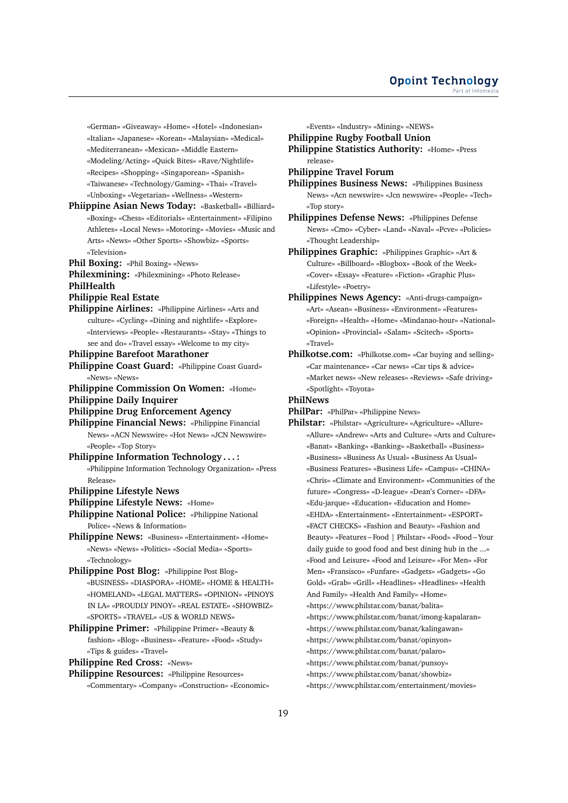«German» «Giveaway» «Home» «Hotel» «Indonesian» «Italian» «Japanese» «Korean» «Malaysian» «Medical»

«Mediterranean» «Mexican» «Middle Eastern»

«Modeling/Acting» «Quick Bites» «Rave/Nightlife»

«Recipes» «Shopping» «Singaporean» «Spanish»

«Taiwanese» «Technology/Gaming» «Thai» «Travel»

«Unboxing» «Vegetarian» «Wellness» «Western»

**Phiippine Asian News Today:** «Basketball» «Billiard» «Boxing» «Chess» «Editorials» «Entertainment» «Filipino Athletes» «Local News» «Motoring» «Movies» «Music and Arts» «News» «Other Sports» «Showbiz» «Sports» «Television»

**Phil Boxing:** «Phil Boxing» «News»

**Philexmining:** «Philexmining» «Photo Release» **PhilHealth**

# **Philippie Real Estate**

**Philippine Airlines:** «Philippine Airlines» «Arts and culture» «Cycling» «Dining and nightlife» «Explore» «Interviews» «People» «Restaurants» «Stay» «Things to see and do» «Travel essay» «Welcome to my city»

#### **Philippine Barefoot Marathoner**

- **Philippine Coast Guard:** «Philippine Coast Guard» «News» «News»
- **Philippine Commission On Women:** «Home»
- **Philippine Daily Inquirer**
- **Philippine Drug Enforcement Agency**
- **Philippine Financial News:** «Philippine Financial News» «ACN Newswire» «Hot News» «JCN Newswire» «People» «Top Story»
- **Philippine Information Technology . . . :** «Philippine Information Technology Organization» «Press Release»

## **Philippine Lifestyle News**

- **Philippine Lifestyle News:** «Home»
- **Philippine National Police:** «Philippine National Police» «News & Information»
- **Philippine News:** «Business» «Entertainment» «Home» «News» «News» «Politics» «Social Media» «Sports» «Technology»

**Philippine Post Blog:** «Philippine Post Blog» «BUSINESS» «DIASPORA» «HOME» «HOME & HEALTH» «HOMELAND» «LEGAL MATTERS» «OPINION» «PINOYS IN LA» «PROUDLY PINOY» «REAL ESTATE» «SHOWBIZ» «SPORTS» «TRAVEL» «US & WORLD NEWS»

**Philippine Primer:** «Philippine Primer» «Beauty & fashion» «Blog» «Business» «Feature» «Food» «Study» «Tips & guides» «Travel»

**Philippine Red Cross:** «News»

**Philippine Resources:** «Philippine Resources» «Commentary» «Company» «Construction» «Economic» «Events» «Industry» «Mining» «NEWS»

**Philippine Rugby Football Union**

**Philippine Statistics Authority:** «Home» «Press release»

**Philippine Travel Forum**

**Philippines Business News:** «Philippines Business News» «Acn newswire» «Jcn newswire» «People» «Tech» «Top story»

**Philippines Defense News:** «Philippines Defense News» «Cmo» «Cyber» «Land» «Naval» «Pcve» «Policies» «Thought Leadership»

- **Philippines Graphic:** «Philippines Graphic» «Art & Culture» «Billboard» «Blogbox» «Book of the Week» «Cover» «Essay» «Feature» «Fiction» «Graphic Plus» «Lifestyle» «Poetry»
- **Philippines News Agency:** «Anti-drugs-campaign» «Art» «Asean» «Business» «Environment» «Features» «Foreign» «Health» «Home» «Mindanao-hour» «National» «Opinion» «Provincial» «Salam» «Scitech» «Sports» «Travel»
- **Philkotse.com:** «Philkotse.com» «Car buying and selling» «Car maintenance» «Car news» «Car tips & advice» «Market news» «New releases» «Reviews» «Safe driving» «Spotlight» «Toyota»

**PhilNews**

**PhilPar:** «PhilPar» «Philippine News»

- **Philstar:** «Philstar» «Agriculture» «Agriculture» «Allure» «Allure» «Andrew» «Arts and Culture» «Arts and Culture» «Banat» «Banking» «Banking» «Basketball» «Business» «Business» «Business As Usual» «Business As Usual» «Business Features» «Business Life» «Campus» «CHINA» «Chris» «Climate and Environment» «Communities of the future» «Congress» «D-league» «Dean's Corner» «DFA» «Edu-jarque» «Education» «Education and Home» «EHDA» «Entertainment» «Entertainment» «ESPORT» «FACT CHECKS» «Fashion and Beauty» «Fashion and Beauty» «Features – Food | Philstar» «Food» «Food – Your daily guide to good food and best dining hub in the ...» «Food and Leisure» «Food and Leisure» «For Men» «For Men» «Fransisco» «Funfare» «Gadgets» «Gadgets» «Go Gold» «Grab» «Grill» «Headlines» «Headlines» «Health And Family» «Health And Family» «Home» «https://www.philstar.com/banat/balita» «https://www.philstar.com/banat/imong-kapalaran» «https://www.philstar.com/banat/kalingawan» «https://www.philstar.com/banat/opinyon» «https://www.philstar.com/banat/palaro» «https://www.philstar.com/banat/punsoy»
	- «https://www.philstar.com/banat/showbiz»
	- «https://www.philstar.com/entertainment/movies»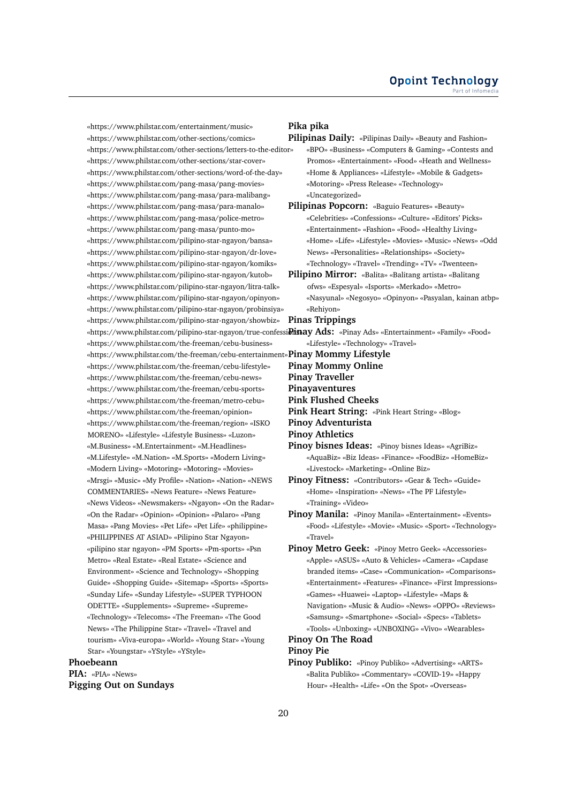«https://www.philstar.com/entertainment/music» «https://www.philstar.com/other-sections/comics» «https://www.philstar.com/other-sections/letters-to-the-editor» «https://www.philstar.com/other-sections/star-cover» «https://www.philstar.com/other-sections/word-of-the-day» «https://www.philstar.com/pang-masa/pang-movies» «https://www.philstar.com/pang-masa/para-malibang» «https://www.philstar.com/pang-masa/para-manalo» «https://www.philstar.com/pang-masa/police-metro» «https://www.philstar.com/pang-masa/punto-mo» «https://www.philstar.com/pilipino-star-ngayon/bansa» «https://www.philstar.com/pilipino-star-ngayon/dr-love» «https://www.philstar.com/pilipino-star-ngayon/komiks» «https://www.philstar.com/pilipino-star-ngayon/kutob» «https://www.philstar.com/pilipino-star-ngayon/litra-talk» «https://www.philstar.com/pilipino-star-ngayon/opinyon» «https://www.philstar.com/pilipino-star-ngayon/probinsiya» «https://www.philstar.com/pilipino-star-ngayon/showbiz» «https://www.philstar.com/pilipino-star-ngayon/true-confessi**Disay Ads:** «Pinay Ads» «Entertainment» «Family» «Food» «https://www.philstar.com/the-freeman/cebu-business» «https://www.philstar.com/the-freeman/cebu-entertainment» **Pinay Mommy Lifestyle** «https://www.philstar.com/the-freeman/cebu-lifestyle» «https://www.philstar.com/the-freeman/cebu-news» «https://www.philstar.com/the-freeman/cebu-sports» «https://www.philstar.com/the-freeman/metro-cebu» «https://www.philstar.com/the-freeman/opinion» «https://www.philstar.com/the-freeman/region» «ISKO MORENO» «Lifestyle» «Lifestyle Business» «Luzon» «M.Business» «M.Entertainment» «M.Headlines» «M.Lifestyle» «M.Nation» «M.Sports» «Modern Living» «Modern Living» «Motoring» «Motoring» «Movies» «Mrsgi» «Music» «My Profile» «Nation» «Nation» «NEWS COMMENTARIES» «News Feature» «News Feature» «News Videos» «Newsmakers» «Ngayon» «On the Radar» «On the Radar» «Opinion» «Opinion» «Palaro» «Pang Masa» «Pang Movies» «Pet Life» «Pet Life» «philippine» «PHILIPPINES AT ASIAD» «Pilipino Star Ngayon» «pilipino star ngayon» «PM Sports» «Pm-sports» «Psn Metro» «Real Estate» «Real Estate» «Science and Environment» «Science and Technology» «Shopping Guide» «Shopping Guide» «Sitemap» «Sports» «Sports» «Sunday Life» «Sunday Lifestyle» «SUPER TYPHOON ODETTE» «Supplements» «Supreme» «Supreme» «Technology» «Telecoms» «The Freeman» «The Good News» «The Philippine Star» «Travel» «Travel and tourism» «Viva-europa» «World» «Young Star» «Young Star» «Youngstar» «YStyle» «YStyle»

## **Phoebeann**

**PIA:** «PIA» «News» **Pigging Out on Sundays**

## **Pika pika**

- **Pilipinas Daily:** «Pilipinas Daily» «Beauty and Fashion» «BPO» «Business» «Computers & Gaming» «Contests and Promos» «Entertainment» «Food» «Heath and Wellness» «Home & Appliances» «Lifestyle» «Mobile & Gadgets» «Motoring» «Press Release» «Technology» «Uncategorized»
- **Pilipinas Popcorn:** «Baguio Features» «Beauty» «Celebrities» «Confessions» «Culture» «Editors' Picks» «Entertainment» «Fashion» «Food» «Healthy Living» «Home» «Life» «Lifestyle» «Movies» «Music» «News» «Odd News» «Personalities» «Relationships» «Society» «Technology» «Travel» «Trending» «TV» «Twenteen»
- **Pilipino Mirror:** «Balita» «Balitang artista» «Balitang ofws» «Espesyal» «Isports» «Merkado» «Metro» «Nasyunal» «Negosyo» «Opinyon» «Pasyalan, kainan atbp» «Rehiyon»
- **Pinas Trippings**
	- «Lifestyle» «Technology» «Travel»

- **Pinay Mommy Online**
- **Pinay Traveller**
- **Pinayaventures**
- **Pink Flushed Cheeks**
- **Pink Heart String:** «Pink Heart String» «Blog»
- **Pinoy Adventurista**
- **Pinoy Athletics**
- **Pinoy bisnes Ideas:** «Pinoy bisnes Ideas» «AgriBiz» «AquaBiz» «Biz Ideas» «Finance» «FoodBiz» «HomeBiz» «Livestock» «Marketing» «Online Biz»
- **Pinoy Fitness:** «Contributors» «Gear & Tech» «Guide» «Home» «Inspiration» «News» «The PF Lifestyle» «Training» «Video»
- **Pinoy Manila:** «Pinoy Manila» «Entertainment» «Events» «Food» «Lifestyle» «Movie» «Music» «Sport» «Technology» «Travel»
- **Pinoy Metro Geek:** «Pinoy Metro Geek» «Accessories» «Apple» «ASUS» «Auto & Vehicles» «Camera» «Capdase branded items» «Case» «Communication» «Comparisons» «Entertainment» «Features» «Finance» «First Impressions» «Games» «Huawei» «Laptop» «Lifestyle» «Maps & Navigation» «Music & Audio» «News» «OPPO» «Reviews» «Samsung» «Smartphone» «Social» «Specs» «Tablets» «Tools» «Unboxing» «UNBOXING» «Vivo» «Wearables»

## **Pinoy On The Road**

**Pinoy Pie**

**Pinoy Publiko:** «Pinoy Publiko» «Advertising» «ARTS» «Balita Publiko» «Commentary» «COVID-19» «Happy Hour» «Health» «Life» «On the Spot» «Overseas»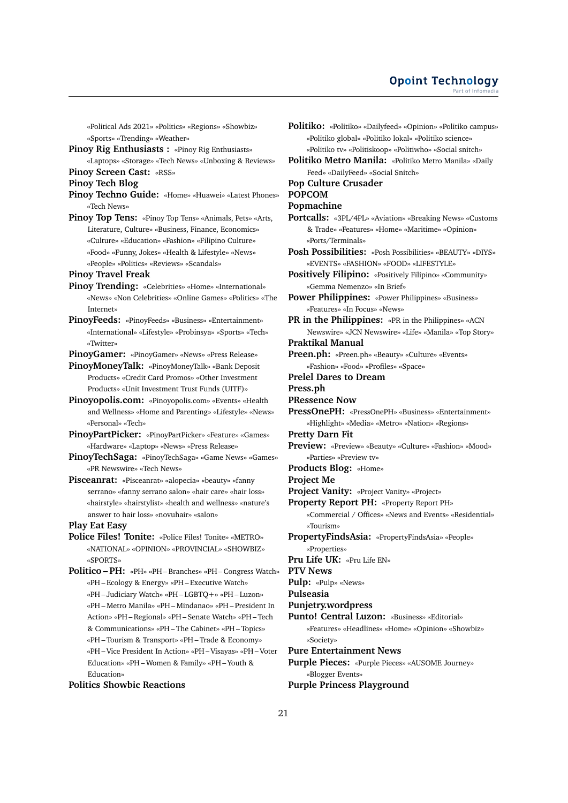«Political Ads 2021» «Politics» «Regions» «Showbiz» «Sports» «Trending» «Weather»

**Pinoy Rig Enthusiasts :** «Pinoy Rig Enthusiasts» «Laptops» «Storage» «Tech News» «Unboxing & Reviews»

**Pinoy Screen Cast:** «RSS»

**Pinoy Tech Blog**

- **Pinoy Techno Guide:** «Home» «Huawei» «Latest Phones» «Tech News»
- **Pinoy Top Tens:** «Pinoy Top Tens» «Animals, Pets» «Arts, Literature, Culture» «Business, Finance, Economics» «Culture» «Education» «Fashion» «Filipino Culture» «Food» «Funny, Jokes» «Health & Lifestyle» «News» «People» «Politics» «Reviews» «Scandals»

**Pinoy Travel Freak**

- **Pinoy Trending:** «Celebrities» «Home» «International» «News» «Non Celebrities» «Online Games» «Politics» «The Internet»
- **PinoyFeeds:** «PinoyFeeds» «Business» «Entertainment» «International» «Lifestyle» «Probinsya» «Sports» «Tech» «Twitter»

**PinoyGamer:** «PinoyGamer» «News» «Press Release»

**PinoyMoneyTalk:** «PinoyMoneyTalk» «Bank Deposit Products» «Credit Card Promos» «Other Investment Products» «Unit Investment Trust Funds (UITF)»

- **Pinoyopolis.com:** «Pinoyopolis.com» «Events» «Health and Wellness» «Home and Parenting» «Lifestyle» «News» «Personal» «Tech»
- **PinoyPartPicker:** «PinoyPartPicker» «Feature» «Games» «Hardware» «Laptop» «News» «Press Release»
- **PinoyTechSaga:** «PinoyTechSaga» «Game News» «Games» «PR Newswire» «Tech News»
- **Pisceanrat:** «Pisceanrat» «alopecia» «beauty» «fanny serrano» «fanny serrano salon» «hair care» «hair loss» «hairstyle» «hairstylist» «health and wellness» «nature's answer to hair loss» «novuhair» «salon»

**Play Eat Easy**

**Police Files! Tonite:** «Police Files! Tonite» «METRO» «NATIONAL» «OPINION» «PROVINCIAL» «SHOWBIZ» «SPORTS»

**Politico – PH:** «PH» «PH – Branches» «PH – Congress Watch» «PH – Ecology & Energy» «PH – Executive Watch» «PH – Judiciary Watch» «PH – LGBTQ+» «PH – Luzon» «PH – Metro Manila» «PH – Mindanao» «PH – President In Action» «PH – Regional» «PH – Senate Watch» «PH – Tech & Communications» «PH – The Cabinet» «PH – Topics» «PH – Tourism & Transport» «PH – Trade & Economy» «PH – Vice President In Action» «PH – Visayas» «PH – Voter Education» «PH – Women & Family» «PH – Youth & Education»

## **Politics Showbic Reactions**

- **Politiko:** «Politiko» «Dailyfeed» «Opinion» «Politiko campus» «Politiko global» «Politiko lokal» «Politiko science» «Politiko tv» «Politiskoop» «Politiwho» «Social snitch»
- **Politiko Metro Manila:** «Politiko Metro Manila» «Daily Feed» «DailyFeed» «Social Snitch»
- **Pop Culture Crusader**

#### **POPCOM**

#### **Popmachine**

- **Portcalls:** «3PL/4PL» «Aviation» «Breaking News» «Customs & Trade» «Features» «Home» «Maritime» «Opinion» «Ports/Terminals»
- **Posh Possibilities:** «Posh Possibilities» «BEAUTY» «DIYS» «EVENTS» «FASHION» «FOOD» «LIFESTYLE»

**Positively Filipino:** «Positively Filipino» «Community» «Gemma Nemenzo» «In Brief»

- **Power Philippines:** «Power Philippines» «Business» «Features» «In Focus» «News»
- **PR in the Philippines:** «PR in the Philippines» «ACN Newswire» «JCN Newswire» «Life» «Manila» «Top Story»

**Praktikal Manual**

- **Preen.ph:** «Preen.ph» «Beauty» «Culture» «Events» «Fashion» «Food» «Profiles» «Space»
- **Prelel Dares to Dream**

**Press.ph**

- **PRessence Now**
- **PressOnePH:** «PressOnePH» «Business» «Entertainment» «Highlight» «Media» «Metro» «Nation» «Regions»
- **Pretty Darn Fit**
- **Preview:** «Preview» «Beauty» «Culture» «Fashion» «Mood» «Parties» «Preview tv»

**Products Blog:** «Home»

- **Project Me**
- **Project Vanity:** «Project Vanity» «Project»

**Property Report PH:** «Property Report PH»

- «Commercial / Offices» «News and Events» «Residential» «Tourism»
- **PropertyFindsAsia:** «PropertyFindsAsia» «People» «Properties»

**Pru Life UK:** «Pru Life EN»

**PTV News**

**Pulp:** «Pulp» «News»

**Pulseasia**

**Punjetry.wordpress**

**Punto! Central Luzon:** «Business» «Editorial»

«Features» «Headlines» «Home» «Opinion» «Showbiz» «Society»

**Pure Entertainment News**

**Purple Pieces:** «Purple Pieces» «AUSOME Journey» «Blogger Events»

**Purple Princess Playground**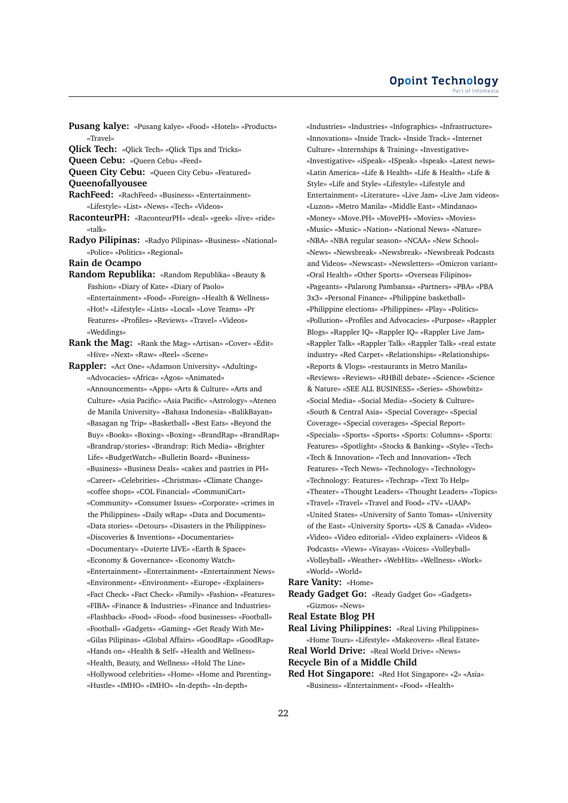**Pusang kalye:** «Pusang kalye» «Food» «Hotels» «Products» «Travel»

**Qlick Tech:** «Qlick Tech» «Qlick Tips and Tricks»

**Queen Cebu:** «Queen Cebu» «Feed»

**Queen City Cebu:** «Queen City Cebu» «Featured»

**Queenofallyousee**

**RachFeed:** «RachFeed» «Business» «Entertainment» «Lifestyle» «List» «News» «Tech» «Videos»

- **RaconteurPH:** «RaconteurPH» «deal» «geek» «live» «ride» «talk»
- **Radyo Pilipinas:** «Radyo Pilipinas» «Business» «National» «Police» «Politics» «Regional»

**Rain de Ocampo**

**Random Republika:** «Random Republika» «Beauty & Fashion» «Diary of Kate» «Diary of Paolo» «Entertainment» «Food» «Foreign» «Health & Wellness» «Hot!» «Lifestyle» «Lists» «Local» «Love Teams» «Pr Features» «Profiles» «Reviews» «Travel» «Videos» «Weddings»

**Rank the Mag:** «Rank the Mag» «Artisan» «Cover» «Edit» «Hive» «Next» «Raw» «Reel» «Scene»

**Rappler:** «Act One» «Adamson University» «Adulting» «Advocacies» «Africa» «Agos» «Animated» «Announcements» «Apps» «Arts & Culture» «Arts and Culture» «Asia Pacific» «Asia Pacific» «Astrology» «Ateneo de Manila University» «Bahasa Indonesia» «BalikBayan» «Basagan ng Trip» «Basketball» «Best Eats» «Beyond the Buy» «Books» «Boxing» «Boxing» «BrandRap» «BrandRap» «Brandrap/stories» «Brandrap: Rich Media» «Brighter Life» «BudgetWatch» «Bulletin Board» «Business» «Business» «Business Deals» «cakes and pastries in PH» «Career» «Celebrities» «Christmas» «Climate Change» «coffee shops» «COL Financial» «CommuniCart» «Community» «Consumer Issues» «Corporate» «crimes in the Philippines» «Daily wRap» «Data and Documents» «Data stories» «Detours» «Disasters in the Philippines» «Discoveries & Inventions» «Documentaries» «Documentary» «Duterte LIVE» «Earth & Space» «Economy & Governance» «Economy Watch» «Entertainment» «Entertainment» «Entertainment News» «Environment» «Environment» «Europe» «Explainers» «Fact Check» «Fact Check» «Family» «Fashion» «Features» «FIBA» «Finance & Industries» «Finance and Industries» «Flashback» «Food» «Food» «food businesses» «Football» «Football» «Gadgets» «Gaming» «Get Ready With Me» «Gilas Pilipinas» «Global Affairs» «GoodRap» «GoodRap» «Hands on» «Health & Self» «Health and Wellness» «Health, Beauty, and Wellness» «Hold The Line» «Hollywood celebrities» «Home» «Home and Parenting» «Hustle» «IMHO» «IMHO» «In-depth» «In-depth»

«Industries» «Industries» «Infographics» «Infrastructure» «Innovations» «Inside Track» «Inside Track» «Internet Culture» «Internships & Training» «Investigative» «Investigative» «iSpeak» «ISpeak» «Ispeak» «Latest news» «Latin America» «Life & Health» «Life & Health» «Life & Style» «Life and Style» «Lifestyle» «Lifestyle and Entertainment» «Literature» «Live Jam» «Live Jam videos» «Luzon» «Metro Manila» «Middle East» «Mindanao» «Money» «Move.PH» «MovePH» «Movies» «Movies» «Music» «Music» «Nation» «National News» «Nature» «NBA» «NBA regular season» «NCAA» «New School» «News» «Newsbreak» «Newsbreak» «Newsbreak Podcasts and Videos» «Newscast» «Newsletters» «Omicron variant» «Oral Health» «Other Sports» «Overseas Filipinos» «Pageants» «Palarong Pambansa» «Partners» «PBA» «PBA 3x3» «Personal Finance» «Philippine basketball» «Philippine elections» «Philippines» «Play» «Politics» «Pollution» «Profiles and Advocacies» «Purpose» «Rappler Blogs» «Rappler IQ» «Rappler IQ» «Rappler Live Jam» «Rappler Talk» «Rappler Talk» «Rappler Talk» «real estate industry» «Red Carpet» «Relationships» «Relationships» «Reports & Vlogs» «restaurants in Metro Manila» «Reviews» «Reviews» «RHBill debate» «Science» «Science & Nature» «SEE ALL BUSINESS» «Series» «Showbitz» «Social Media» «Social Media» «Society & Culture» «South & Central Asia» «Special Coverage» «Special Coverage» «Special coverages» «Special Report» «Specials» «Sports» «Sports» «Sports: Columns» «Sports: Features» «Spotlight» «Stocks & Banking» «Style» «Tech» «Tech & Innovation» «Tech and Innovation» «Tech Features» «Tech News» «Technology» «Technology» «Technology: Features» «Techrap» «Text To Help» «Theater» «Thought Leaders» «Thought Leaders» «Topics» «Travel» «Travel» «Travel and Food» «TV» «UAAP» «United States» «University of Santo Tomas» «University of the East» «University Sports» «US & Canada» «Video» «Video» «Video editorial» «Video explainers» «Videos & Podcasts» «Views» «Visayas» «Voices» «Volleyball» «Volleyball» «Weather» «WebHits» «Wellness» «Work» «World» «World»

#### **Rare Vanity:** «Home»

**Ready Gadget Go:** «Ready Gadget Go» «Gadgets» «Gizmos» «News»

**Real Estate Blog PH**

**Real Living Philippines:** «Real Living Philippines»

«Home Tours» «Lifestyle» «Makeovers» «Real Estate» **Real World Drive:** «Real World Drive» «News»

**Recycle Bin of a Middle Child**

**Red Hot Singapore:** «Red Hot Singapore» «2» «Asia» «Business» «Entertainment» «Food» «Health»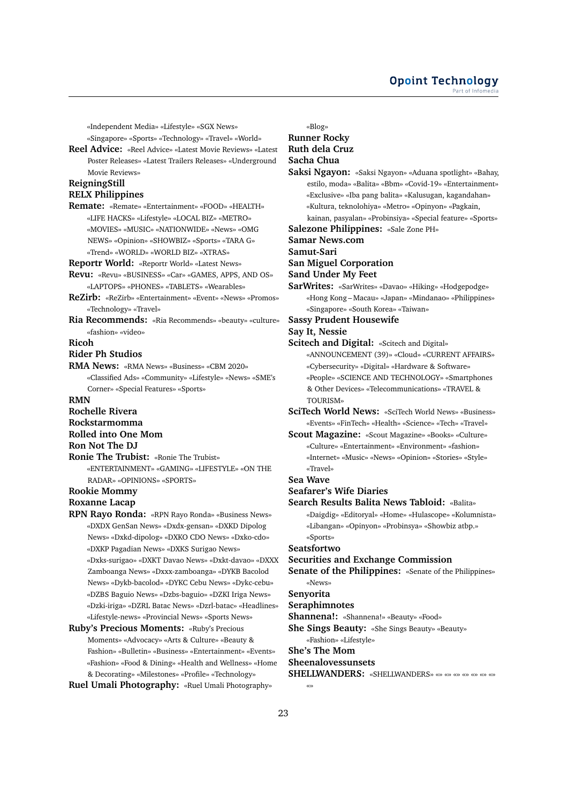«Independent Media» «Lifestyle» «SGX News»

«Singapore» «Sports» «Technology» «Travel» «World»

**Reel Advice:** «Reel Advice» «Latest Movie Reviews» «Latest Poster Releases» «Latest Trailers Releases» «Underground Movie Reviews»

## **ReigningStill**

## **RELX Philippines**

**Remate:** «Remate» «Entertainment» «FOOD» «HEALTH» «LIFE HACKS» «Lifestyle» «LOCAL BIZ» «METRO» «MOVIES» «MUSIC» «NATIONWIDE» «News» «OMG NEWS» «Opinion» «SHOWBIZ» «Sports» «TARA G» «Trend» «WORLD» «WORLD BIZ» «XTRAS»

**Reportr World:** «Reportr World» «Latest News»

- **Revu:** «Revu» «BUSINESS» «Car» «GAMES, APPS, AND OS» «LAPTOPS» «PHONES» «TABLETS» «Wearables»
- **ReZirb:** «ReZirb» «Entertainment» «Event» «News» «Promos» «Technology» «Travel»
- **Ria Recommends:** «Ria Recommends» «beauty» «culture» «fashion» «video»
- **Ricoh**

## **Rider Ph Studios**

**RMA News:** «RMA News» «Business» «CBM 2020» «Classified Ads» «Community» «Lifestyle» «News» «SME's Corner» «Special Features» «Sports»

#### **RMN**

**Rochelle Rivera**

- **Rockstarmomma**
- **Rolled into One Mom**

#### **Ron Not The DJ**

**Ronie The Trubist:** «Ronie The Trubist» «ENTERTAINMENT» «GAMING» «LIFESTYLE» «ON THE RADAR» «OPINIONS» «SPORTS»

#### **Rookie Mommy**

#### **Roxanne Lacap**

- **RPN Rayo Ronda:** «RPN Rayo Ronda» «Business News» «DXDX GenSan News» «Dxdx-gensan» «DXKD Dipolog News» «Dxkd-dipolog» «DXKO CDO News» «Dxko-cdo» «DXKP Pagadian News» «DXKS Surigao News» «Dxks-surigao» «DXKT Davao News» «Dxkt-davao» «DXXX Zamboanga News» «Dxxx-zamboanga» «DYKB Bacolod News» «Dykb-bacolod» «DYKC Cebu News» «Dykc-cebu» «DZBS Baguio News» «Dzbs-baguio» «DZKI Iriga News» «Dzki-iriga» «DZRL Batac News» «Dzrl-batac» «Headlines» «Lifestyle-news» «Provincial News» «Sports News»
- **Ruby's Precious Moments:** «Ruby's Precious Moments» «Advocacy» «Arts & Culture» «Beauty & Fashion» «Bulletin» «Business» «Entertainment» «Events» «Fashion» «Food & Dining» «Health and Wellness» «Home & Decorating» «Milestones» «Profile» «Technology»

```
Ruel Umali Photography: «Ruel Umali Photography»
```
«Blog»

# **Runner Rocky**

# **Ruth dela Cruz**

# **Sacha Chua**

- **Saksi Ngayon:** «Saksi Ngayon» «Aduana spotlight» «Bahay, estilo, moda» «Balita» «Bbm» «Covid-19» «Entertainment» «Exclusive» «Iba pang balita» «Kalusugan, kagandahan» «Kultura, teknolohiya» «Metro» «Opinyon» «Pagkain, kainan, pasyalan» «Probinsiya» «Special feature» «Sports»
- **Salezone Philippines:** «Sale Zone PH»

**Samar News.com**

**Samut-Sari**

**San Miguel Corporation**

**Sand Under My Feet**

- **SarWrites:** «SarWrites» «Davao» «Hiking» «Hodgepodge» «Hong Kong – Macau» «Japan» «Mindanao» «Philippines» «Singapore» «South Korea» «Taiwan»
- **Sassy Prudent Housewife**

## **Say It, Nessie**

- **Scitech and Digital:** «Scitech and Digital» «ANNOUNCEMENT (39)» «Cloud» «CURRENT AFFAIRS» «Cybersecurity» «Digital» «Hardware & Software» «People» «SCIENCE AND TECHNOLOGY» «Smartphones & Other Devices» «Telecommunications» «TRAVEL & TOLIBISM»
- **SciTech World News:** «SciTech World News» «Business» «Events» «FinTech» «Health» «Science» «Tech» «Travel»
- **Scout Magazine:** «Scout Magazine» «Books» «Culture» «Culture» «Entertainment» «Environment» «fashion» «Internet» «Music» «News» «Opinion» «Stories» «Style» «Travel»

## **Sea Wave**

## **Seafarer's Wife Diaries**

**Search Results Balita News Tabloid:** «Balita»

«Daigdig» «Editoryal» «Home» «Hulascope» «Kolumnista» «Libangan» «Opinyon» «Probinsya» «Showbiz atbp.» «Sports»

## **Seatsfortwo**

#### **Securities and Exchange Commission**

**Senate of the Philippines:** «Senate of the Philippines» «News»

#### **Senyorita**

#### **Seraphimnotes**

**Shannena!:** «Shannena!» «Beauty» «Food»

**She Sings Beauty:** «She Sings Beauty» «Beauty»

«Fashion» «Lifestyle»

# **She's The Mom**

**Sheenalovessunsets**

- **SHELLWANDERS:** «SHELLWANDERS» «» «» «» «» «» «» «»
- «»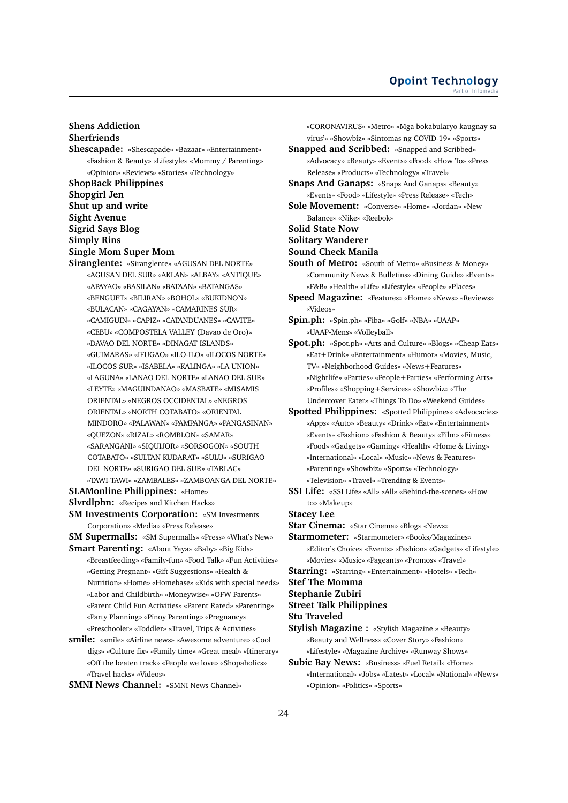## **Shens Addiction Sherfriends Shescapade:** «Shescapade» «Bazaar» «Entertainment»

- «Fashion & Beauty» «Lifestyle» «Mommy / Parenting» «Opinion» «Reviews» «Stories» «Technology» **ShopBack Philippines Shopgirl Jen Shut up and write Sight Avenue Sigrid Says Blog Simply Rins Single Mom Super Mom Siranglente:** «Siranglente» «AGUSAN DEL NORTE»
	- «AGUSAN DEL SUR» «AKLAN» «ALBAY» «ANTIQUE» «APAYAO» «BASILAN» «BATAAN» «BATANGAS» «BENGUET» «BILIRAN» «BOHOL» «BUKIDNON» «BULACAN» «CAGAYAN» «CAMARINES SUR» «CAMIGUIN» «CAPIZ» «CATANDUANES» «CAVITE» «CEBU» «COMPOSTELA VALLEY (Davao de Oro)» «DAVAO DEL NORTE» «DINAGAT ISLANDS» «GUIMARAS» «IFUGAO» «ILO-ILO» «ILOCOS NORTE» «ILOCOS SUR» «ISABELA» «KALINGA» «LA UNION» «LAGUNA» «LANAO DEL NORTE» «LANAO DEL SUR» «LEYTE» «MAGUINDANAO» «MASBATE» «MISAMIS ORIENTAL» «NEGROS OCCIDENTAL» «NEGROS ORIENTAL» «NORTH COTABATO» «ORIENTAL MINDORO» «PALAWAN» «PAMPANGA» «PANGASINAN» «QUEZON» «RIZAL» «ROMBLON» «SAMAR» «SARANGANI» «SIQUIJOR» «SORSOGON» «SOUTH COTABATO» «SULTAN KUDARAT» «SULU» «SURIGAO DEL NORTE» «SURIGAO DEL SUR» «TARLAC» «TAWI-TAWI» «ZAMBALES» «ZAMBOANGA DEL NORTE»

**SLAMonline Philippines:** «Home»

**Slvrdlphn:** «Recipes and Kitchen Hacks»

**SM Investments Corporation:** «SM Investments Corporation» «Media» «Press Release»

**SM Supermalls:** «SM Supermalls» «Press» «What's New» **Smart Parenting:** «About Yaya» «Baby» «Big Kids»

- «Breastfeeding» «Family-fun» «Food Talk» «Fun Activities» «Getting Pregnant» «Gift Suggestions» «Health & Nutrition» «Home» «Homebase» «Kids with special needs» «Labor and Childbirth» «Moneywise» «OFW Parents» «Parent Child Fun Activities» «Parent Rated» «Parenting» «Party Planning» «Pinoy Parenting» «Pregnancy» «Preschooler» «Toddler» «Travel, Trips & Activities»
- **smile:** «smile» «Airline news» «Awesome adventure» «Cool digs» «Culture fix» «Family time» «Great meal» «Itinerary» «Off the beaten track» «People we love» «Shopaholics» «Travel hacks» «Videos»

**SMNI News Channel:** «SMNI News Channel»

«CORONAVIRUS» «Metro» «Mga bokabularyo kaugnay sa virus'» «Showbiz» «Sintomas ng COVID-19» «Sports»

**Snapped and Scribbed:** «Snapped and Scribbed» «Advocacy» «Beauty» «Events» «Food» «How To» «Press Release» «Products» «Technology» «Travel»

**Snaps And Ganaps:** «Snaps And Ganaps» «Beauty» «Events» «Food» «Lifestyle» «Press Release» «Tech»

**Sole Movement:** «Converse» «Home» «Jordan» «New Balance» «Nike» «Reebok»

**Solid State Now**

**Solitary Wanderer**

**Sound Check Manila**

**South of Metro:** «South of Metro» «Business & Money» «Community News & Bulletins» «Dining Guide» «Events» «F&B» «Health» «Life» «Lifestyle» «People» «Places»

- **Speed Magazine:** «Features» «Home» «News» «Reviews» «Videos»
- **Spin.ph:** «Spin.ph» «Fiba» «Golf» «NBA» «UAAP» «UAAP-Mens» «Volleyball»
- **Spot.ph:** «Spot.ph» «Arts and Culture» «Blogs» «Cheap Eats» «Eat+Drink» «Entertainment» «Humor» «Movies, Music, TV» «Neighborhood Guides» «News+Features» «Nightlife» «Parties» «People+Parties» «Performing Arts» «Profiles» «Shopping+Services» «Showbiz» «The Undercover Eater» «Things To Do» «Weekend Guides»
- **Spotted Philippines:** «Spotted Philippines» «Advocacies» «Apps» «Auto» «Beauty» «Drink» «Eat» «Entertainment» «Events» «Fashion» «Fashion & Beauty» «Film» «Fitness» «Food» «Gadgets» «Gaming» «Health» «Home & Living» «International» «Local» «Music» «News & Features» «Parenting» «Showbiz» «Sports» «Technology» «Television» «Travel» «Trending & Events»
- **SSI Life:** «SSI Life» «All» «All» «Behind-the-scenes» «How to» «Makeup»

**Stacey Lee**

**Star Cinema:** «Star Cinema» «Blog» «News»

**Starmometer:** «Starmometer» «Books/Magazines» «Editor's Choice» «Events» «Fashion» «Gadgets» «Lifestyle» «Movies» «Music» «Pageants» «Promos» «Travel»

**Starring:** «Starring» «Entertainment» «Hotels» «Tech»

## **Stef The Momma**

**Stephanie Zubiri**

- **Street Talk Philippines**
- **Stu Traveled**
- **Stylish Magazine :** «Stylish Magazine » «Beauty» «Beauty and Wellness» «Cover Story» «Fashion» «Lifestyle» «Magazine Archive» «Runway Shows»
- **Subic Bay News:** «Business» «Fuel Retail» «Home» «International» «Jobs» «Latest» «Local» «National» «News» «Opinion» «Politics» «Sports»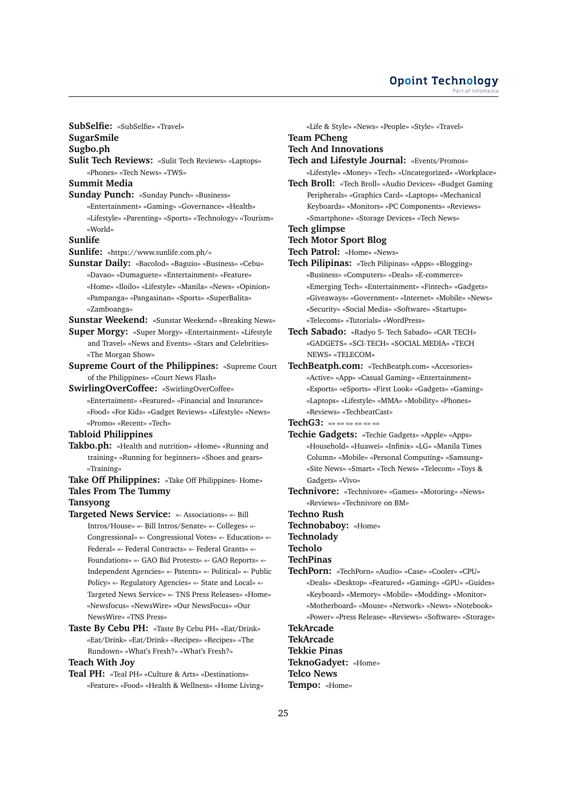#### **Opoint Technology** Part of Infomer

**SubSelfie:** «SubSelfie» «Travel»

**SugarSmile**

**Sugbo.ph**

**Sulit Tech Reviews:** «Sulit Tech Reviews» «Laptops» «Phones» «Tech News» «TWS»

**Summit Media**

**Sunday Punch:** «Sunday Punch» «Business» «Entertainment» «Gaming» «Governance» «Health» «Lifestyle» «Parenting» «Sports» «Technology» «Tourism» «World»

**Sunlife**

- **Sunlife:** «https://www.sunlife.com.ph/»
- **Sunstar Daily:** «Bacolod» «Baguio» «Business» «Cebu» «Davao» «Dumaguete» «Entertainment» «Feature» «Home» «Iloilo» «Lifestyle» «Manila» «News» «Opinion» «Pampanga» «Pangasinan» «Sports» «SuperBalita» «Zamboanga»

**Sunstar Weekend:** «Sunstar Weekend» «Breaking News»

- **Super Morgy:** «Super Morgy» «Entertainment» «Lifestyle and Travel» «News and Events» «Stars and Celebrities» «The Morgan Show»
- **Supreme Court of the Philippines:** «Supreme Court of the Philippines» «Court News Flash»
- **SwirlingOverCoffee:** «SwirlingOverCoffee» «Entertaiment» «Featured» «Financial and Insurance» «Food» «For Kids» «Gadget Reviews» «Lifestyle» «News» «Promo» «Recent» «Tech»

## **Tabloid Philippines**

- **Takbo.ph:** «Health and nutrition» «Home» «Running and training» «Running for beginners» «Shoes and gears» «Training»
- **Take Off Philippines:** «Take Off Philippines- Home» **Tales From The Tummy**

#### **Tansyong**

- **Targeted News Service:** «- Associations» «- Bill Intros/House» «- Bill Intros/Senate» «- Colleges» «- Congressional» «- Congressional Votes» «- Education» «- Federal» «- Federal Contracts» «- Federal Grants» «- Foundations» «- GAO Bid Protests» «- GAO Reports» «- Independent Agencies» «- Patents» «- Political» «- Public Policy» «- Regulatory Agencies» «- State and Local» «- Targeted News Service» «- TNS Press Releases» «Home» «Newsfocus» «NewsWire» «Our NewsFocus» «Our NewsWire» «TNS Press»
- **Taste By Cebu PH:** «Taste By Cebu PH» «Eat/Drink» «Eat/Drink» «Eat/Drink» «Recipes» «Recipes» «The Rundown» «What's Fresh?» «What's Fresh?»

## **Teach With Joy**

**Teal PH:** «Teal PH» «Culture & Arts» «Destinations» «Feature» «Food» «Health & Wellness» «Home Living» **Team PCheng Tech And Innovations Tech and Lifestyle Journal:** «Events/Promos» «Lifestyle» «Money» «Tech» «Uncategorized» «Workplace» **Tech Broll:** «Tech Broll» «Audio Devices» «Budget Gaming

«Life & Style» «News» «People» «Style» «Travel»

Peripherals» «Graphics Card» «Laptops» «Mechanical Keyboards» «Monitors» «PC Components» «Reviews» «Smartphone» «Storage Devices» «Tech News»

## **Tech glimpse**

- **Tech Motor Sport Blog**
- **Tech Patrol:** «Home» «News»
- **Tech Pilipinas:** «Tech Pilipinas» «Apps» «Blogging» «Business» «Computers» «Deals» «E-commerce» «Emerging Tech» «Entertainment» «Fintech» «Gadgets» «Giveaways» «Government» «Internet» «Mobile» «News» «Security» «Social Media» «Software» «Startups» «Telecoms» «Tutorials» «WordPress»
- **Tech Sabado:** «Radyo 5- Tech Sabado» «CAR TECH» «GADGETS» «SCI-TECH» «SOCIAL MEDIA» «TECH NEWS» «TELECOM»

**TechBeatph.com:** «TechBeatph.com» «Accesories» «Active» «App» «Casual Gaming» «Entertainment» «Esports» «eSports» «First Look» «Gadgets» «Gaming» «Laptops» «Lifestyle» «MMA» «Mobility» «Phones» «Reviews» «TechbeatCast»

**TechG3:** «» «» «» «» «» «»

- **Techie Gadgets:** «Techie Gadgets» «Apple» «Apps» «Household» «Huawei» «Infinix» «LG» «Manila Times Column» «Mobile» «Personal Computing» «Samsung» «Site News» «Smart» «Tech News» «Telecom» «Toys & Gadgets» «Vivo»
- **Technivore:** «Technivore» «Games» «Motoring» «News» «Reviews» «Technivore on BM»

**Techno Rush**

- **Technobaboy:** «Home»
- **Technolady**

**Techolo**

#### **TechPinas**

**TechPorn:** «TechPorn» «Audio» «Case» «Cooler» «CPU» «Deals» «Desktop» «Featured» «Gaming» «GPU» «Guides» «Keyboard» «Memory» «Mobile» «Modding» «Monitor» «Motherboard» «Mouse» «Network» «News» «Notebook» «Power» «Press Release» «Reviews» «Software» «Storage»

## **TekArcade**

**TekArcade**

**Tekkie Pinas TeknoGadyet:** «Home» **Telco News Tempo:** «Home»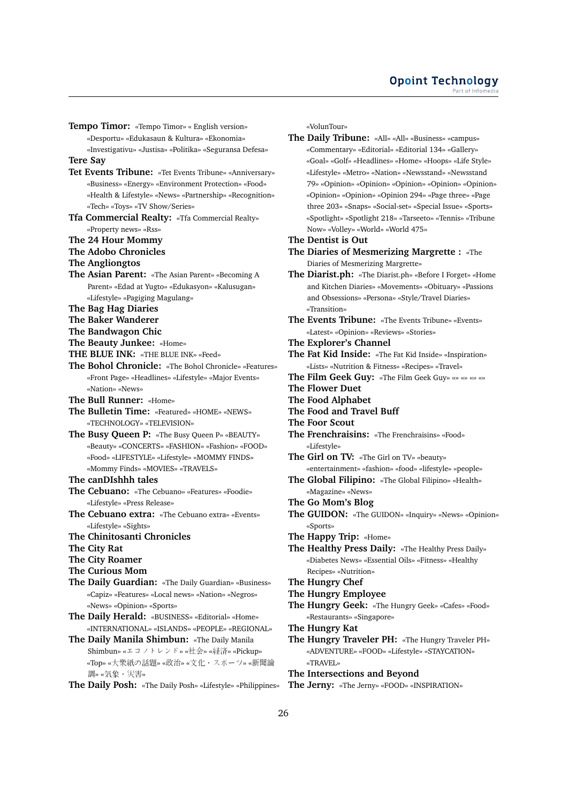**Tempo Timor:** «Tempo Timor» « English version» «Desportu» «Edukasaun & Kultura» «Ekonomia» «Investigativu» «Justisa» «Politika» «Seguransa Defesa» **Tere Say Tet Events Tribune:** «Tet Events Tribune» «Anniversary» «Business» «Energy» «Environment Protection» «Food» «Health & Lifestyle» «News» «Partnership» «Recognition» «Tech» «Toys» «TV Show/Series» **Tfa Commercial Realty:** «Tfa Commercial Realty» «Property news» «Rss» **The 24 Hour Mommy The Adobo Chronicles The Angliongtos The Asian Parent:** «The Asian Parent» «Becoming A Parent» «Edad at Yugto» «Edukasyon» «Kalusugan» «Lifestyle» «Pagiging Magulang» **The Bag Hag Diaries The Baker Wanderer The Bandwagon Chic The Beauty Junkee:** «Home» **THE BLUE INK:** «THE BLUE INK» «Feed» **The Bohol Chronicle:** «The Bohol Chronicle» «Features» «Front Page» «Headlines» «Lifestyle» «Major Events» «Nation» «News» **The Bull Runner:** «Home» **The Bulletin Time:** «Featured» «HOME» «NEWS» «TECHNOLOGY» «TELEVISION» **The Busy Queen P:** «The Busy Queen P» «BEAUTY» «Beauty» «CONCERTS» «FASHION» «Fashion» «FOOD» «Food» «LIFESTYLE» «Lifestyle» «MOMMY FINDS» «Mommy Finds» «MOVIES» «TRAVELS» **The canDIshhh tales The Cebuano:** «The Cebuano» «Features» «Foodie» «Lifestyle» «Press Release» **The Cebuano extra:** «The Cebuano extra» «Events» «Lifestyle» «Sights» **The Chinitosanti Chronicles The City Rat The City Roamer The Curious Mom The Daily Guardian:** «The Daily Guardian» «Business» «Capiz» «Features» «Local news» «Nation» «Negros» «News» «Opinion» «Sports» **The Daily Herald:** «BUSINESS» «Editorial» «Home» «INTERNATIONAL» «ISLANDS» «PEOPLE» «REGIONAL»

**The Daily Manila Shimbun:** «The Daily Manila Shimbun» «エコノトレンド» «社会» «経済» «Pickup» «Top» «大衆紙の話題» «政治» «文化・スポーツ» «新聞<sup>論</sup> 調» «気象・災害»

**The Daily Posh:** «The Daily Posh» «Lifestyle» «Philippines»

«VolunTour»

**The Daily Tribune:** «All» «All» «Business» «campus» «Commentary» «Editorial» «Editorial 134» «Gallery» «Goal» «Golf» «Headlines» «Home» «Hoops» «Life Style» «Lifestyle» «Metro» «Nation» «Newsstand» «Newsstand 79» «Opinion» «Opinion» «Opinion» «Opinion» «Opinion» «Opinion» «Opinion» «Opinion 294» «Page three» «Page three 203» «Snaps» «Social-set» «Special Issue» «Sports» «Spotlight» «Spotlight 218» «Tarseeto» «Tennis» «Tribune Now» «Volley» «World» «World 475»

**The Dentist is Out**

- **The Diaries of Mesmerizing Margrette :** «The Diaries of Mesmerizing Margrette»
- **The Diarist.ph:** «The Diarist.ph» «Before I Forget» «Home and Kitchen Diaries» «Movements» «Obituary» «Passions and Obsessions» «Persona» «Style/Travel Diaries» «Transition»
- **The Events Tribune:** «The Events Tribune» «Events» «Latest» «Opinion» «Reviews» «Stories»
- **The Explorer's Channel**
- **The Fat Kid Inside:** «The Fat Kid Inside» «Inspiration» «Lists» «Nutrition & Fitness» «Recipes» «Travel»
- **The Film Geek Guy:** «The Film Geek Guy» «» «» «» «»
- **The Flower Duet**
- **The Food Alphabet**
- **The Food and Travel Buff**
- **The Foor Scout**
- **The Frenchraisins:** «The Frenchraisins» «Food» «Lifestyle»

**The Girl on TV:** «The Girl on TV» «beauty»

- «entertainment» «fashion» «food» «lifestyle» «people» **The Global Filipino:** «The Global Filipino» «Health» «Magazine» «News»
- **The Go Mom's Blog**
- **The GUIDON:** «The GUIDON» «Inquiry» «News» «Opinion» «Sports»
- **The Happy Trip:** «Home»
- **The Healthy Press Daily:** «The Healthy Press Daily» «Diabetes News» «Essential Oils» «Fitness» «Healthy Recipes» «Nutrition»
- **The Hungry Chef**

#### **The Hungry Employee**

- **The Hungry Geek:** «The Hungry Geek» «Cafes» «Food» «Restaurants» «Singapore»
- **The Hungry Kat**
- **The Hungry Traveler PH:** «The Hungry Traveler PH» «ADVENTURE» «FOOD» «Lifestyle» «STAYCATION» «TRAVEL»

**The Intersections and Beyond**

**The Jerny:** «The Jerny» «FOOD» «INSPIRATION»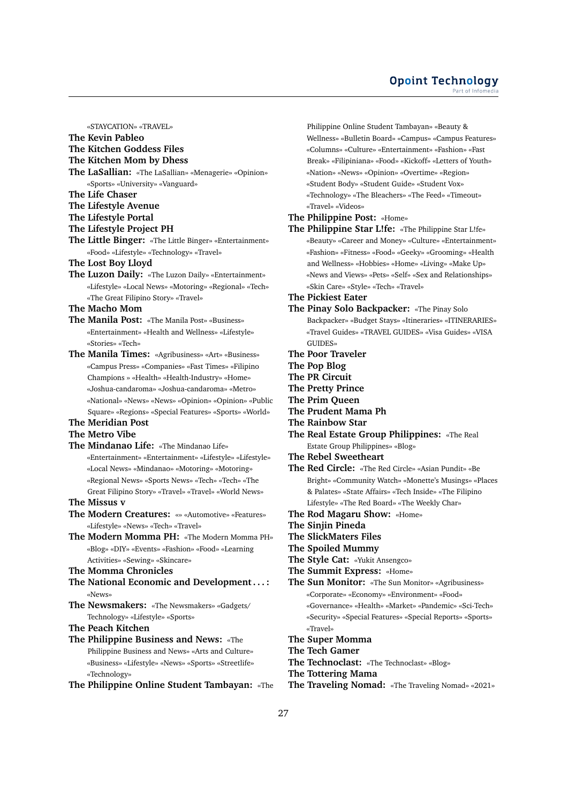#### **Opoint Technology** Part of Infomer

«STAYCATION» «TRAVEL»

**The Kevin Pableo**

**The Kitchen Goddess Files**

**The Kitchen Mom by Dhess**

- **The LaSallian:** «The LaSallian» «Menagerie» «Opinion» «Sports» «University» «Vanguard»
- **The Life Chaser**
- **The Lifestyle Avenue**
- **The Lifestyle Portal**
- **The Lifestyle Project PH**
- **The Little Binger:** «The Little Binger» «Entertainment» «Food» «Lifestyle» «Technology» «Travel»
- **The Lost Boy Lloyd**
- **The Luzon Daily:** «The Luzon Daily» «Entertainment» «Lifestyle» «Local News» «Motoring» «Regional» «Tech» «The Great Filipino Story» «Travel»
- **The Macho Mom**
- **The Manila Post:** «The Manila Post» «Business» «Entertainment» «Health and Wellness» «Lifestyle» «Stories» «Tech»
- **The Manila Times:** «Agribusiness» «Art» «Business» «Campus Press» «Companies» «Fast Times» «Filipino Champions » «Health» «Health-Industry» «Home» «Joshua-candaroma» «Joshua-candaroma» «Metro» «National» «News» «News» «Opinion» «Opinion» «Public Square» «Regions» «Special Features» «Sports» «World»

## **The Meridian Post**

- **The Metro Vibe**
- **The Mindanao Life:** «The Mindanao Life» «Entertainment» «Entertainment» «Lifestyle» «Lifestyle» «Local News» «Mindanao» «Motoring» «Motoring» «Regional News» «Sports News» «Tech» «Tech» «The Great Filipino Story» «Travel» «Travel» «World News»
- **The Missus v**
- **The Modern Creatures:** «» «Automotive» «Features» «Lifestyle» «News» «Tech» «Travel»
- **The Modern Momma PH:** «The Modern Momma PH» «Blog» «DIY» «Events» «Fashion» «Food» «Learning Activities» «Sewing» «Skincare»
- **The Momma Chronicles**
- **The National Economic and Development . . . :** «News»
- **The Newsmakers:** «The Newsmakers» «Gadgets/ Technology» «Lifestyle» «Sports»

#### **The Peach Kitchen**

- **The Philippine Business and News:** «The Philippine Business and News» «Arts and Culture» «Business» «Lifestyle» «News» «Sports» «Streetlife» «Technology»
- **The Philippine Online Student Tambayan:** «The

Philippine Online Student Tambayan» «Beauty & Wellness» «Bulletin Board» «Campus» «Campus Features» «Columns» «Culture» «Entertainment» «Fashion» «Fast Break» «Filipiniana» «Food» «Kickoff» «Letters of Youth» «Nation» «News» «Opinion» «Overtime» «Region» «Student Body» «Student Guide» «Student Vox» «Technology» «The Bleachers» «The Feed» «Timeout» «Travel» «Videos»

- **The Philippine Post:** «Home»
- **The Philippine Star L!fe:** «The Philippine Star L!fe» «Beauty» «Career and Money» «Culture» «Entertainment» «Fashion» «Fitness» «Food» «Geeky» «Grooming» «Health and Wellness» «Hobbies» «Home» «Living» «Make Up» «News and Views» «Pets» «Self» «Sex and Relationships» «Skin Care» «Style» «Tech» «Travel»
- **The Pickiest Eater**
- **The Pinay Solo Backpacker:** «The Pinay Solo Backpacker» «Budget Stays» «Itineraries» «ITINERARIES» «Travel Guides» «TRAVEL GUIDES» «Visa Guides» «VISA GUIDES»
- **The Poor Traveler**
- **The Pop Blog**
- **The PR Circuit**
- **The Pretty Prince**
- **The Prim Queen**
- **The Prudent Mama Ph**
- **The Rainbow Star**
- **The Real Estate Group Philippines:** «The Real Estate Group Philippines» «Blog»
- **The Rebel Sweetheart**
- **The Red Circle:** «The Red Circle» «Asian Pundit» «Be Bright» «Community Watch» «Monette's Musings» «Places & Palates» «State Affairs» «Tech Inside» «The Filipino Lifestyle» «The Red Board» «The Weekly Char»
- **The Rod Magaru Show:** «Home»
- **The Sinjin Pineda**
- **The SlickMaters Files**
- **The Spoiled Mummy**
- **The Style Cat:** «Yukit Ansengco»
- **The Summit Express:** «Home»
- **The Sun Monitor:** «The Sun Monitor» «Agribusiness» «Corporate» «Economy» «Environment» «Food» «Governance» «Health» «Market» «Pandemic» «Sci-Tech» «Security» «Special Features» «Special Reports» «Sports» «Travel»
- **The Super Momma**
- **The Tech Gamer**
- **The Technoclast:** «The Technoclast» «Blog»
- **The Tottering Mama**
- **The Traveling Nomad:** «The Traveling Nomad» «2021»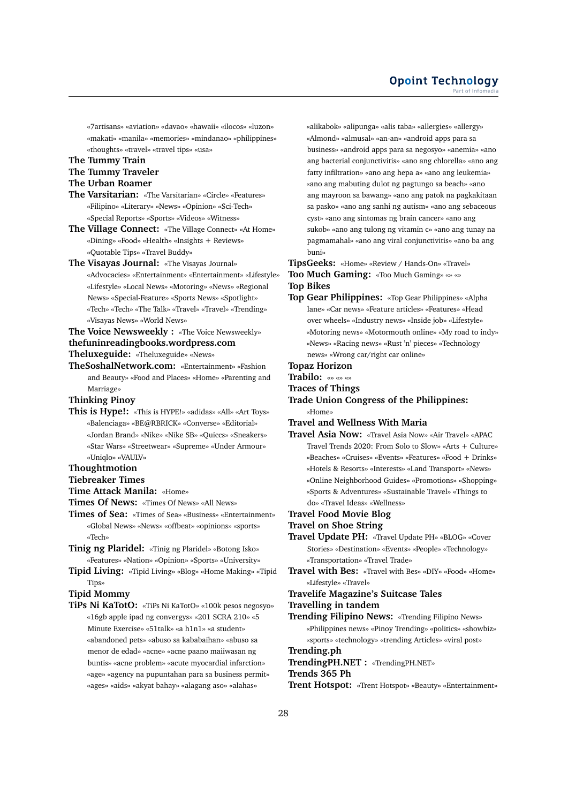«7artisans» «aviation» «davao» «hawaii» «ilocos» «luzon» «makati» «manila» «memories» «mindanao» «philippines» «thoughts» «travel» «travel tips» «usa»

## **The Tummy Train**

## **The Tummy Traveler**

## **The Urban Roamer**

- **The Varsitarian:** «The Varsitarian» «Circle» «Features» «Filipino» «Literary» «News» «Opinion» «Sci-Tech» «Special Reports» «Sports» «Videos» «Witness»
- **The Village Connect:** «The Village Connect» «At Home» «Dining» «Food» «Health» «Insights + Reviews» «Quotable Tips» «Travel Buddy»

#### **The Visayas Journal:** «The Visayas Journal»

«Advocacies» «Entertainment» «Entertainment» «Lifestyle» «Lifestyle» «Local News» «Motoring» «News» «Regional News» «Special-Feature» «Sports News» «Spotlight» «Tech» «Tech» «The Talk» «Travel» «Travel» «Trending» «Visayas News» «World News»

#### **The Voice Newsweekly :** «The Voice Newsweekly»

## **thefuninreadingbooks.wordpress.com**

**Theluxeguide:** «Theluxeguide» «News»

**TheSoshalNetwork.com:** «Entertainment» «Fashion and Beauty» «Food and Places» «Home» «Parenting and Marriage»

**Thinking Pinoy**

**This is Hype!:** «This is HYPE!» «adidas» «All» «Art Toys» «Balenciaga» «BE@RBRICK» «Converse» «Editorial» «Jordan Brand» «Nike» «Nike SB» «Quiccs» «Sneakers» «Star Wars» «Streetwear» «Supreme» «Under Armour» «Uniqlo» «VAULV»

#### **Thoughtmotion**

**Tiebreaker Times**

- **Time Attack Manila:** «Home»
- **Times Of News:** «Times Of News» «All News»
- **Times of Sea:** «Times of Sea» «Business» «Entertainment» «Global News» «News» «offbeat» «opinions» «sports» «Tech»
- **Tinig ng Plaridel:** «Tinig ng Plaridel» «Botong Isko» «Features» «Nation» «Opinion» «Sports» «University»
- **Tipid Living:** «Tipid Living» «Blog» «Home Making» «Tipid Tips»

#### **Tipid Mommy**

**TiPs Ni KaTotO:** «TiPs Ni KaTotO» «100k pesos negosyo» «16gb apple ipad ng convergys» «201 SCRA 210» «5 Minute Exercise» «51talk» «a h1n1» «a student» «abandoned pets» «abuso sa kababaihan» «abuso sa menor de edad» «acne» «acne paano maiiwasan ng buntis» «acne problem» «acute myocardial infarction» «age» «agency na pupuntahan para sa business permit» «ages» «aids» «akyat bahay» «alagang aso» «alahas»

«alikabok» «alipunga» «alis taba» «allergies» «allergy» «Almond» «almusal» «an-an» «android apps para sa business» «android apps para sa negosyo» «anemia» «ano ang bacterial conjunctivitis» «ano ang chlorella» «ano ang fatty infiltration» «ano ang hepa a» «ano ang leukemia» «ano ang mabuting dulot ng pagtungo sa beach» «ano ang mayroon sa bawang» «ano ang patok na pagkakitaan sa pasko» «ano ang sanhi ng autism» «ano ang sebaceous cyst» «ano ang sintomas ng brain cancer» «ano ang sukob» «ano ang tulong ng vitamin c» «ano ang tunay na pagmamahal» «ano ang viral conjunctivitis» «ano ba ang buni»

**TipsGeeks:** «Home» «Review / Hands-On» «Travel»

**Too Much Gaming:** «Too Much Gaming» «» «» **Top Bikes**

**Top Gear Philippines:** «Top Gear Philippines» «Alpha lane» «Car news» «Feature articles» «Features» «Head over wheels» «Industry news» «Inside job» «Lifestyle» «Motoring news» «Motormouth online» «My road to indy» «News» «Racing news» «Rust 'n' pieces» «Technology news» «Wrong car/right car online»

**Topaz Horizon**

**Trabilo:** «» «» «»

- **Traces of Things**
- **Trade Union Congress of the Philippines:** «Home»

## **Travel and Wellness With Maria**

- **Travel Asia Now:** «Travel Asia Now» «Air Travel» «APAC Travel Trends 2020: From Solo to Slow» «Arts + Culture» «Beaches» «Cruises» «Events» «Features» «Food + Drinks» «Hotels & Resorts» «Interests» «Land Transport» «News» «Online Neighborhood Guides» «Promotions» «Shopping» «Sports & Adventures» «Sustainable Travel» «Things to do» «Travel Ideas» «Wellness»
- **Travel Food Movie Blog**

#### **Travel on Shoe String**

**Travel Update PH:** «Travel Update PH» «BLOG» «Cover Stories» «Destination» «Events» «People» «Technology» «Transportation» «Travel Trade»

**Travel with Bes:** «Travel with Bes» «DIY» «Food» «Home» «Lifestyle» «Travel»

#### **Travelife Magazine's Suitcase Tales**

#### **Travelling in tandem**

**Trending Filipino News:** «Trending Filipino News» «Philippines news» «Pinoy Trending» «politics» «showbiz» «sports» «technology» «trending Articles» «viral post»

# **Trending.ph**

**TrendingPH.NET :** «TrendingPH.NET»

## **Trends 365 Ph**

**Trent Hotspot:** «Trent Hotspot» «Beauty» «Entertainment»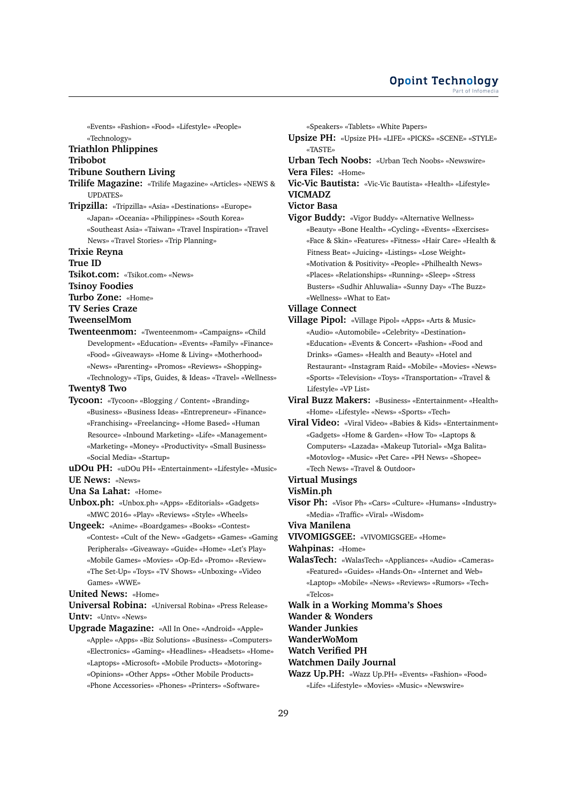«Events» «Fashion» «Food» «Lifestyle» «People» «Technology»

# **Triathlon Phlippines**

## **Tribobot**

## **Tribune Southern Living**

- **Trilife Magazine:** «Trilife Magazine» «Articles» «NEWS & UPDATES»
- **Tripzilla:** «Tripzilla» «Asia» «Destinations» «Europe» «Japan» «Oceania» «Philippines» «South Korea» «Southeast Asia» «Taiwan» «Travel Inspiration» «Travel News» «Travel Stories» «Trip Planning»
- **Trixie Reyna**

#### **True ID**

**Tsikot.com:** «Tsikot.com» «News»

#### **Tsinoy Foodies**

- **Turbo Zone:** «Home»
- **TV Series Craze**

#### **TweenselMom**

**Twenteenmom:** «Twenteenmom» «Campaigns» «Child Development» «Education» «Events» «Family» «Finance» «Food» «Giveaways» «Home & Living» «Motherhood» «News» «Parenting» «Promos» «Reviews» «Shopping» «Technology» «Tips, Guides, & Ideas» «Travel» «Wellness»

## **Twenty8 Two**

**Tycoon:** «Tycoon» «Blogging / Content» «Branding» «Business» «Business Ideas» «Entrepreneur» «Finance» «Franchising» «Freelancing» «Home Based» «Human Resource» «Inbound Marketing» «Life» «Management» «Marketing» «Money» «Productivity» «Small Business» «Social Media» «Startup»

**uDOu PH:** «uDOu PH» «Entertainment» «Lifestyle» «Music» **UE News:** «News»

**Una Sa Lahat:** «Home»

**Unbox.ph:** «Unbox.ph» «Apps» «Editorials» «Gadgets» «MWC 2016» «Play» «Reviews» «Style» «Wheels»

**Ungeek:** «Anime» «Boardgames» «Books» «Contest» «Contest» «Cult of the New» «Gadgets» «Games» «Gaming Peripherals» «Giveaway» «Guide» «Home» «Let's Play» «Mobile Games» «Movies» «Op-Ed» «Promo» «Review» «The Set-Up» «Toys» «TV Shows» «Unboxing» «Video Games» «WWE»

#### **United News:** «Home»

**Universal Robina:** «Universal Robina» «Press Release» **Untv:** «Untv» «News»

**Upgrade Magazine:** «All In One» «Android» «Apple» «Apple» «Apps» «Biz Solutions» «Business» «Computers» «Electronics» «Gaming» «Headlines» «Headsets» «Home» «Laptops» «Microsoft» «Mobile Products» «Motoring»

«Opinions» «Other Apps» «Other Mobile Products» «Phone Accessories» «Phones» «Printers» «Software»

- «Speakers» «Tablets» «White Papers»
- **Upsize PH:** «Upsize PH» «LIFE» «PICKS» «SCENE» «STYLE» «TASTE»
- **Urban Tech Noobs:** «Urban Tech Noobs» «Newswire» **Vera Files:** «Home»
- **Vic-Vic Bautista:** «Vic-Vic Bautista» «Health» «Lifestyle» **VICMADZ**

#### **Victor Basa**

**Vigor Buddy:** «Vigor Buddy» «Alternative Wellness» «Beauty» «Bone Health» «Cycling» «Events» «Exercises» «Face & Skin» «Features» «Fitness» «Hair Care» «Health & Fitness Beat» «Juicing» «Listings» «Lose Weight» «Motivation & Positivity» «People» «Philhealth News» «Places» «Relationships» «Running» «Sleep» «Stress Busters» «Sudhir Ahluwalia» «Sunny Day» «The Buzz» «Wellness» «What to Eat»

## **Village Connect**

- **Village Pipol:** «Village Pipol» «Apps» «Arts & Music» «Audio» «Automobile» «Celebrity» «Destination» «Education» «Events & Concert» «Fashion» «Food and Drinks» «Games» «Health and Beauty» «Hotel and Restaurant» «Instagram Raid» «Mobile» «Movies» «News» «Sports» «Television» «Toys» «Transportation» «Travel & Lifestyle» «VP List»
- **Viral Buzz Makers:** «Business» «Entertainment» «Health» «Home» «Lifestyle» «News» «Sports» «Tech»
- **Viral Video:** «Viral Video» «Babies & Kids» «Entertainment» «Gadgets» «Home & Garden» «How To» «Laptops & Computers» «Lazada» «Makeup Tutorial» «Mga Balita» «Motovlog» «Music» «Pet Care» «PH News» «Shopee» «Tech News» «Travel & Outdoor»

## **Virtual Musings**

## **VisMin.ph**

**Visor Ph:** «Visor Ph» «Cars» «Culture» «Humans» «Industry» «Media» «Traffic» «Viral» «Wisdom»

**Viva Manilena**

- **VIVOMIGSGEE:** «VIVOMIGSGEE» «Home»
- **Wahpinas:** «Home»
- **WalasTech:** «WalasTech» «Appliances» «Audio» «Cameras» «Featured» «Guides» «Hands-On» «Internet and Web» «Laptop» «Mobile» «News» «Reviews» «Rumors» «Tech» «Telcos»
- **Walk in a Working Momma's Shoes**
- **Wander & Wonders**
- **Wander Junkies**
- **WanderWoMom**
- **Watch Verified PH**
- **Watchmen Daily Journal**
- **Wazz Up.PH:** «Wazz Up.PH» «Events» «Fashion» «Food» «Life» «Lifestyle» «Movies» «Music» «Newswire»